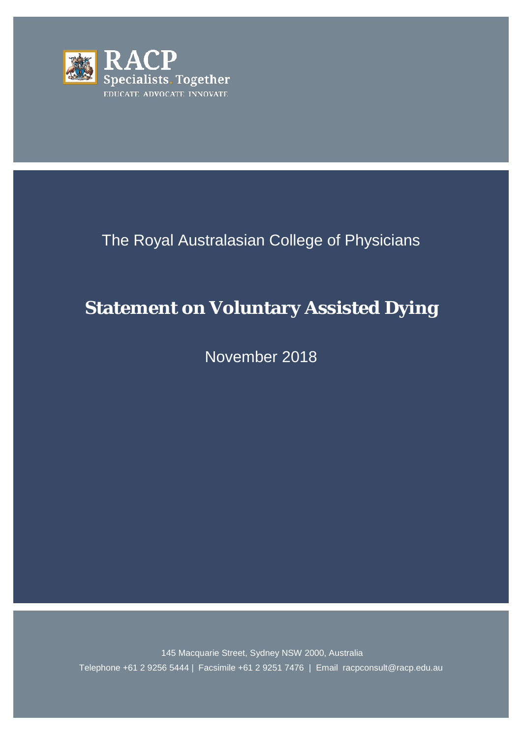

# The Royal Australasian College of Physicians

# **Statement on Voluntary Assisted Dying**

November 2018

145 Macquarie Street, Sydney NSW 2000, Australia Telephone +61 2 9256 5444 | Facsimile +61 2 9251 7476 | Email racpconsult@racp.edu.au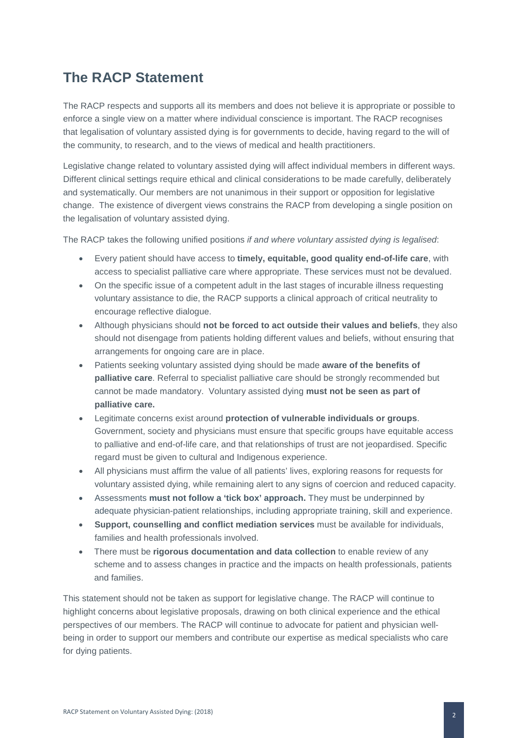## **The RACP Statement**

The RACP respects and supports all its members and does not believe it is appropriate or possible to enforce a single view on a matter where individual conscience is important. The RACP recognises that legalisation of voluntary assisted dying is for governments to decide, having regard to the will of the community, to research, and to the views of medical and health practitioners.

Legislative change related to voluntary assisted dying will affect individual members in different ways. Different clinical settings require ethical and clinical considerations to be made carefully, deliberately and systematically. Our members are not unanimous in their support or opposition for legislative change. The existence of divergent views constrains the RACP from developing a single position on the legalisation of voluntary assisted dying.

The RACP takes the following unified positions *if and where voluntary assisted dying is legalised*:

- Every patient should have access to **timely, equitable, good quality end-of-life care**, with access to specialist palliative care where appropriate. These services must not be devalued.
- On the specific issue of a competent adult in the last stages of incurable illness requesting voluntary assistance to die, the RACP supports a clinical approach of critical neutrality to encourage reflective dialogue.
- Although physicians should **not be forced to act outside their values and beliefs**, they also should not disengage from patients holding different values and beliefs, without ensuring that arrangements for ongoing care are in place.
- Patients seeking voluntary assisted dying should be made **aware of the benefits of palliative care**. Referral to specialist palliative care should be strongly recommended but cannot be made mandatory. Voluntary assisted dying **must not be seen as part of palliative care.**
- Legitimate concerns exist around **protection of vulnerable individuals or groups**. Government, society and physicians must ensure that specific groups have equitable access to palliative and end-of-life care, and that relationships of trust are not jeopardised. Specific regard must be given to cultural and Indigenous experience.
- All physicians must affirm the value of all patients' lives, exploring reasons for requests for voluntary assisted dying, while remaining alert to any signs of coercion and reduced capacity.
- Assessments **must not follow a 'tick box' approach.** They must be underpinned by adequate physician-patient relationships, including appropriate training, skill and experience.
- **Support, counselling and conflict mediation services** must be available for individuals, families and health professionals involved.
- There must be **rigorous documentation and data collection** to enable review of any scheme and to assess changes in practice and the impacts on health professionals, patients and families.

This statement should not be taken as support for legislative change. The RACP will continue to highlight concerns about legislative proposals, drawing on both clinical experience and the ethical perspectives of our members. The RACP will continue to advocate for patient and physician wellbeing in order to support our members and contribute our expertise as medical specialists who care for dying patients.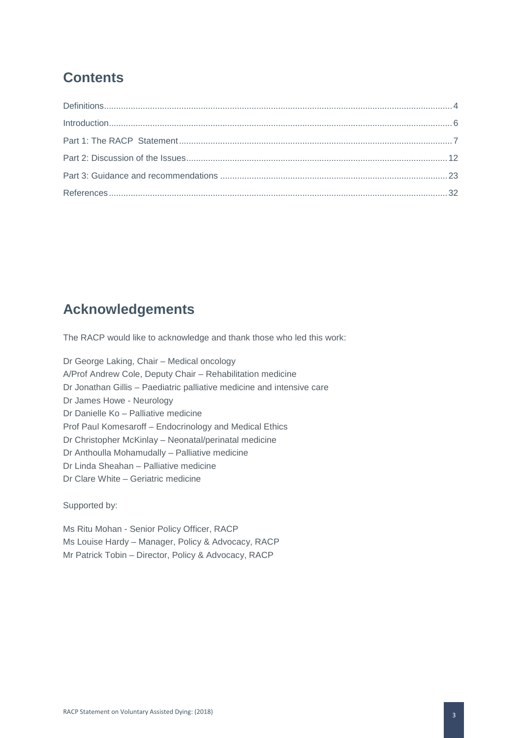# **Contents**

### **Acknowledgements**

The RACP would like to acknowledge and thank those who led this work:

Dr George Laking, Chair – Medical oncology A/Prof Andrew Cole, Deputy Chair – Rehabilitation medicine Dr Jonathan Gillis – Paediatric palliative medicine and intensive care Dr James Howe - Neurology Dr Danielle Ko – Palliative medicine Prof Paul Komesaroff – Endocrinology and Medical Ethics Dr Christopher McKinlay – Neonatal/perinatal medicine Dr Anthoulla Mohamudally – Palliative medicine Dr Linda Sheahan – Palliative medicine Dr Clare White – Geriatric medicine

Supported by:

Ms Ritu Mohan - Senior Policy Officer, RACP Ms Louise Hardy – Manager, Policy & Advocacy, RACP Mr Patrick Tobin – Director, Policy & Advocacy, RACP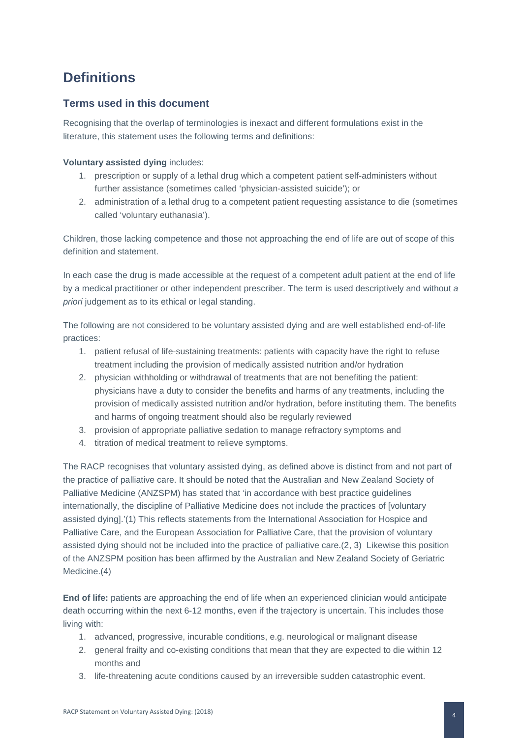# <span id="page-4-0"></span>**Definitions**

### **Terms used in this document**

Recognising that the overlap of terminologies is inexact and different formulations exist in the literature, this statement uses the following terms and definitions:

### **Voluntary assisted dying** includes:

- 1. prescription or supply of a lethal drug which a competent patient self-administers without further assistance (sometimes called 'physician-assisted suicide'); or
- 2. administration of a lethal drug to a competent patient requesting assistance to die (sometimes called 'voluntary euthanasia').

Children, those lacking competence and those not approaching the end of life are out of scope of this definition and statement.

In each case the drug is made accessible at the request of a competent adult patient at the end of life by a medical practitioner or other independent prescriber. The term is used descriptively and without *a priori* judgement as to its ethical or legal standing.

The following are not considered to be voluntary assisted dying and are well established end-of-life practices:

- 1. patient refusal of life-sustaining treatments: patients with capacity have the right to refuse treatment including the provision of medically assisted nutrition and/or hydration
- 2. physician withholding or withdrawal of treatments that are not benefiting the patient: physicians have a duty to consider the benefits and harms of any treatments, including the provision of medically assisted nutrition and/or hydration, before instituting them. The benefits and harms of ongoing treatment should also be regularly reviewed
- 3. provision of appropriate palliative sedation to manage refractory symptoms and
- 4. titration of medical treatment to relieve symptoms.

The RACP recognises that voluntary assisted dying, as defined above is distinct from and not part of the practice of palliative care. It should be noted that the Australian and New Zealand Society of Palliative Medicine (ANZSPM) has stated that 'in accordance with best practice guidelines internationally, the discipline of Palliative Medicine does not include the practices of [voluntary assisted dying].'(1) This reflects statements from the International Association for Hospice and Palliative Care, and the European Association for Palliative Care, that the provision of voluntary assisted dying should not be included into the practice of palliative care.(2, 3) Likewise this position of the ANZSPM position has been affirmed by the Australian and New Zealand Society of Geriatric Medicine.(4)

**End of life:** patients are approaching the end of life when an experienced clinician would anticipate death occurring within the next 6-12 months, even if the trajectory is uncertain. This includes those living with:

- 1. advanced, progressive, incurable conditions, e.g. neurological or malignant disease
- 2. general frailty and co-existing conditions that mean that they are expected to die within 12 months and
- 3. life-threatening acute conditions caused by an irreversible sudden catastrophic event.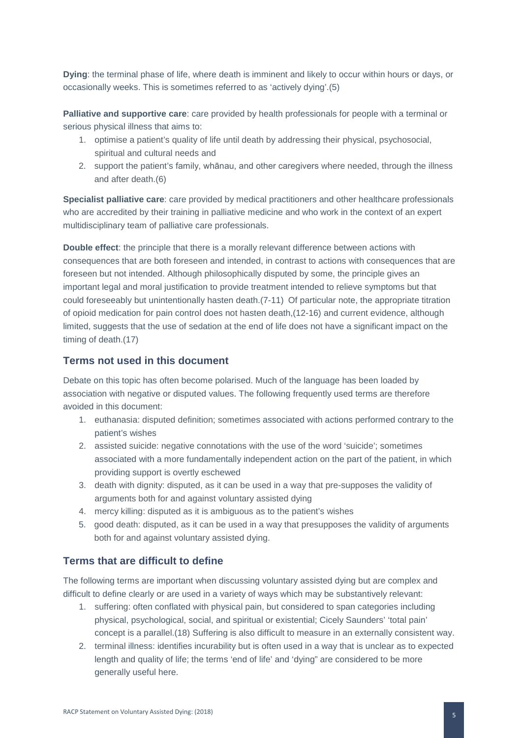**Dying**: the terminal phase of life, where death is imminent and likely to occur within hours or days, or occasionally weeks. This is sometimes referred to as 'actively dying'.(5)

**Palliative and supportive care**: care provided by health professionals for people with a terminal or serious physical illness that aims to:

- 1. optimise a patient's quality of life until death by addressing their physical, psychosocial, spiritual and cultural needs and
- 2. support the patient's family, whānau, and other caregivers where needed, through the illness and after death.(6)

**Specialist palliative care**: care provided by medical practitioners and other healthcare professionals who are accredited by their training in palliative medicine and who work in the context of an expert multidisciplinary team of palliative care professionals.

**Double effect**: the principle that there is a morally relevant difference between actions with consequences that are both foreseen and intended, in contrast to actions with consequences that are foreseen but not intended. Although philosophically disputed by some, the principle gives an important legal and moral justification to provide treatment intended to relieve symptoms but that could foreseeably but unintentionally hasten death.(7-11) Of particular note, the appropriate titration of opioid medication for pain control does not hasten death,(12-16) and current evidence, although limited, suggests that the use of sedation at the end of life does not have a significant impact on the timing of death.(17)

### **Terms not used in this document**

Debate on this topic has often become polarised. Much of the language has been loaded by association with negative or disputed values. The following frequently used terms are therefore avoided in this document:

- 1. euthanasia: disputed definition; sometimes associated with actions performed contrary to the patient's wishes
- 2. assisted suicide: negative connotations with the use of the word 'suicide'; sometimes associated with a more fundamentally independent action on the part of the patient, in which providing support is overtly eschewed
- 3. death with dignity: disputed, as it can be used in a way that pre-supposes the validity of arguments both for and against voluntary assisted dying
- 4. mercy killing: disputed as it is ambiguous as to the patient's wishes
- 5. good death: disputed, as it can be used in a way that presupposes the validity of arguments both for and against voluntary assisted dying.

### **Terms that are difficult to define**

The following terms are important when discussing voluntary assisted dying but are complex and difficult to define clearly or are used in a variety of ways which may be substantively relevant:

- 1. suffering: often conflated with physical pain, but considered to span categories including physical, psychological, social, and spiritual or existential; Cicely Saunders' 'total pain' concept is a parallel.(18) Suffering is also difficult to measure in an externally consistent way.
- 2. terminal illness: identifies incurability but is often used in a way that is unclear as to expected length and quality of life; the terms 'end of life' and 'dying" are considered to be more generally useful here.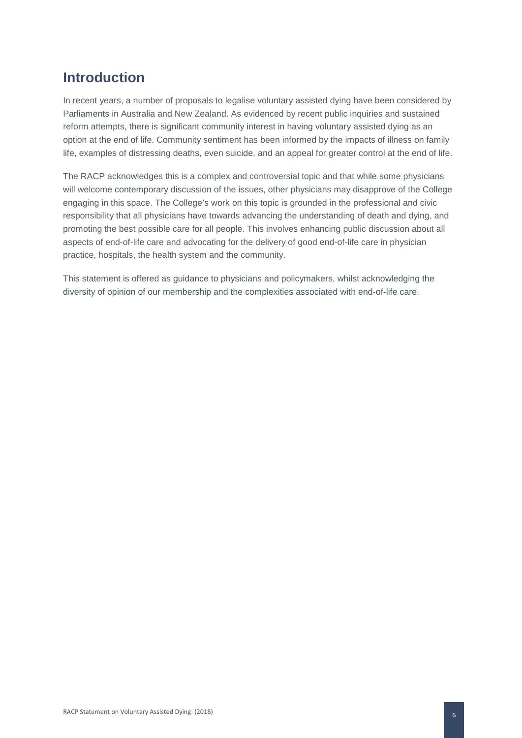# <span id="page-6-0"></span>**Introduction**

In recent years, a number of proposals to legalise voluntary assisted dying have been considered by Parliaments in Australia and New Zealand. As evidenced by recent public inquiries and sustained reform attempts, there is significant community interest in having voluntary assisted dying as an option at the end of life. Community sentiment has been informed by the impacts of illness on family life, examples of distressing deaths, even suicide, and an appeal for greater control at the end of life.

The RACP acknowledges this is a complex and controversial topic and that while some physicians will welcome contemporary discussion of the issues, other physicians may disapprove of the College engaging in this space. The College's work on this topic is grounded in the professional and civic responsibility that all physicians have towards advancing the understanding of death and dying, and promoting the best possible care for all people. This involves enhancing public discussion about all aspects of end-of-life care and advocating for the delivery of good end-of-life care in physician practice, hospitals, the health system and the community.

This statement is offered as guidance to physicians and policymakers, whilst acknowledging the diversity of opinion of our membership and the complexities associated with end-of-life care.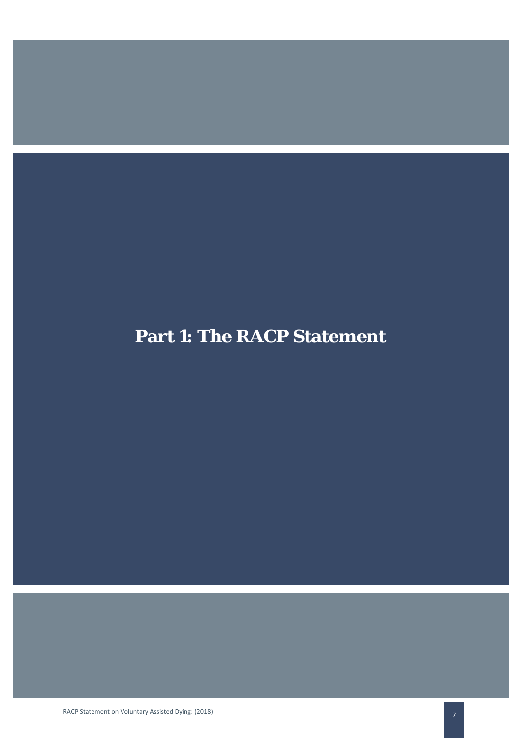# **Part 1: The RACP Statement**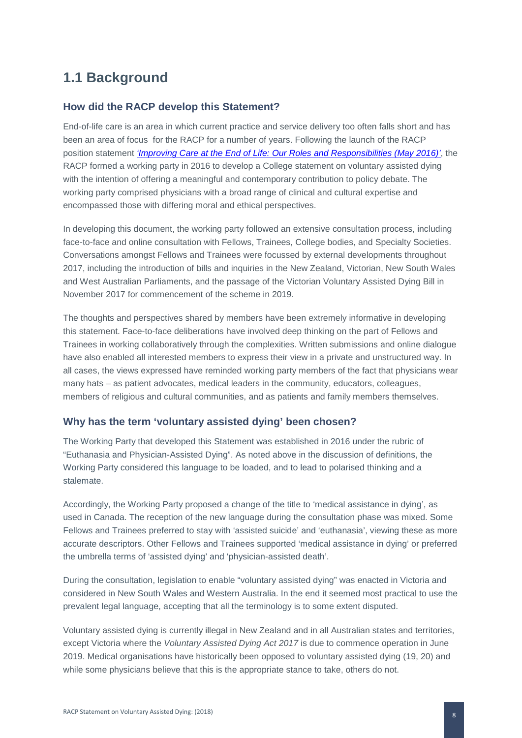# **1.1 Background**

### **How did the RACP develop this Statement?**

End-of-life care is an area in which current practice and service delivery too often falls short and has been an area of focus for the RACP for a number of years. Following the launch of the RACP position statement *['Improving Care at the End of Life: Our Roles and Responsibilities \(May 2016\)'](https://www.racp.edu.au/docs/default-source/advocacy-library/pa-pos-end-of-life-position-statement.pdf?sfvrsn=6)*, the RACP formed a working party in 2016 to develop a College statement on voluntary assisted dying with the intention of offering a meaningful and contemporary contribution to policy debate. The working party comprised physicians with a broad range of clinical and cultural expertise and encompassed those with differing moral and ethical perspectives.

In developing this document, the working party followed an extensive consultation process, including face-to-face and online consultation with Fellows, Trainees, College bodies, and Specialty Societies. Conversations amongst Fellows and Trainees were focussed by external developments throughout 2017, including the introduction of bills and inquiries in the New Zealand, Victorian, New South Wales and West Australian Parliaments, and the passage of the Victorian Voluntary Assisted Dying Bill in November 2017 for commencement of the scheme in 2019.

The thoughts and perspectives shared by members have been extremely informative in developing this statement. Face-to-face deliberations have involved deep thinking on the part of Fellows and Trainees in working collaboratively through the complexities. Written submissions and online dialogue have also enabled all interested members to express their view in a private and unstructured way. In all cases, the views expressed have reminded working party members of the fact that physicians wear many hats – as patient advocates, medical leaders in the community, educators, colleagues, members of religious and cultural communities, and as patients and family members themselves.

### **Why has the term 'voluntary assisted dying' been chosen?**

The Working Party that developed this Statement was established in 2016 under the rubric of "Euthanasia and Physician-Assisted Dying". As noted above in the discussion of definitions, the Working Party considered this language to be loaded, and to lead to polarised thinking and a stalemate.

Accordingly, the Working Party proposed a change of the title to 'medical assistance in dying', as used in Canada. The reception of the new language during the consultation phase was mixed. Some Fellows and Trainees preferred to stay with 'assisted suicide' and 'euthanasia', viewing these as more accurate descriptors. Other Fellows and Trainees supported 'medical assistance in dying' or preferred the umbrella terms of 'assisted dying' and 'physician-assisted death'.

During the consultation, legislation to enable "voluntary assisted dying" was enacted in Victoria and considered in New South Wales and Western Australia. In the end it seemed most practical to use the prevalent legal language, accepting that all the terminology is to some extent disputed.

Voluntary assisted dying is currently illegal in New Zealand and in all Australian states and territories, except Victoria where the *Voluntary Assisted Dying Act 2017* is due to commence operation in June 2019. Medical organisations have historically been opposed to voluntary assisted dying (19, 20) and while some physicians believe that this is the appropriate stance to take, others do not.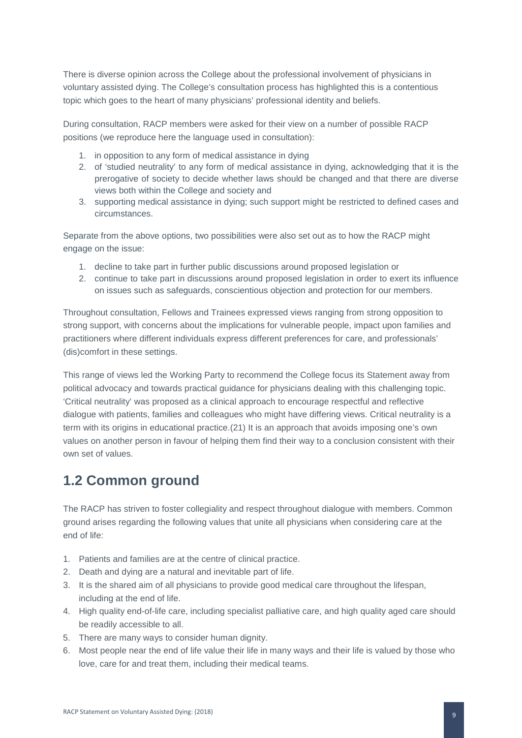There is diverse opinion across the College about the professional involvement of physicians in voluntary assisted dying. The College's consultation process has highlighted this is a contentious topic which goes to the heart of many physicians' professional identity and beliefs.

During consultation, RACP members were asked for their view on a number of possible RACP positions (we reproduce here the language used in consultation):

- 1. in opposition to any form of medical assistance in dying
- 2. of 'studied neutrality' to any form of medical assistance in dying, acknowledging that it is the prerogative of society to decide whether laws should be changed and that there are diverse views both within the College and society and
- 3. supporting medical assistance in dying; such support might be restricted to defined cases and circumstances.

Separate from the above options, two possibilities were also set out as to how the RACP might engage on the issue:

- 1. decline to take part in further public discussions around proposed legislation or
- 2. continue to take part in discussions around proposed legislation in order to exert its influence on issues such as safeguards, conscientious objection and protection for our members.

Throughout consultation, Fellows and Trainees expressed views ranging from strong opposition to strong support, with concerns about the implications for vulnerable people, impact upon families and practitioners where different individuals express different preferences for care, and professionals' (dis)comfort in these settings.

This range of views led the Working Party to recommend the College focus its Statement away from political advocacy and towards practical guidance for physicians dealing with this challenging topic. 'Critical neutrality' was proposed as a clinical approach to encourage respectful and reflective dialogue with patients, families and colleagues who might have differing views. Critical neutrality is a term with its origins in educational practice.(21) It is an approach that avoids imposing one's own values on another person in favour of helping them find their way to a conclusion consistent with their own set of values.

### **1.2 Common ground**

The RACP has striven to foster collegiality and respect throughout dialogue with members. Common ground arises regarding the following values that unite all physicians when considering care at the end of life:

- 1. Patients and families are at the centre of clinical practice.
- 2. Death and dying are a natural and inevitable part of life.
- 3. It is the shared aim of all physicians to provide good medical care throughout the lifespan, including at the end of life.
- 4. High quality end-of-life care, including specialist palliative care, and high quality aged care should be readily accessible to all.
- 5. There are many ways to consider human dignity.
- 6. Most people near the end of life value their life in many ways and their life is valued by those who love, care for and treat them, including their medical teams.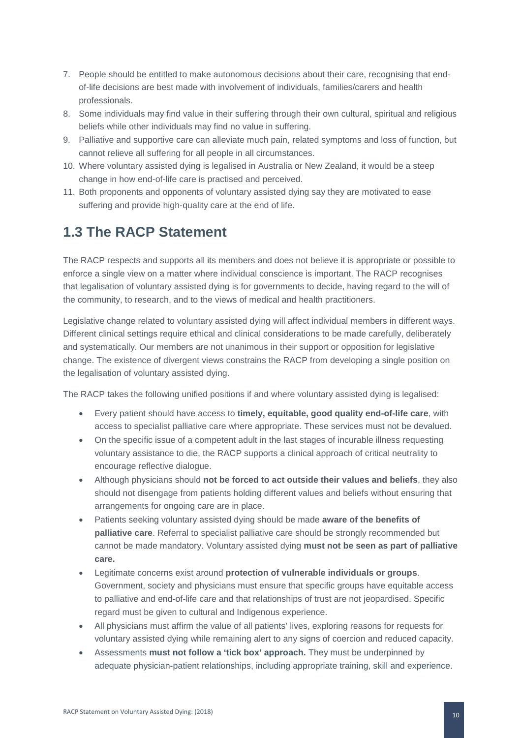- 7. People should be entitled to make autonomous decisions about their care, recognising that endof-life decisions are best made with involvement of individuals, families/carers and health professionals.
- 8. Some individuals may find value in their suffering through their own cultural, spiritual and religious beliefs while other individuals may find no value in suffering.
- 9. Palliative and supportive care can alleviate much pain, related symptoms and loss of function, but cannot relieve all suffering for all people in all circumstances.
- 10. Where voluntary assisted dying is legalised in Australia or New Zealand, it would be a steep change in how end-of-life care is practised and perceived.
- 11. Both proponents and opponents of voluntary assisted dying say they are motivated to ease suffering and provide high-quality care at the end of life.

## **1.3 The RACP Statement**

The RACP respects and supports all its members and does not believe it is appropriate or possible to enforce a single view on a matter where individual conscience is important. The RACP recognises that legalisation of voluntary assisted dying is for governments to decide, having regard to the will of the community, to research, and to the views of medical and health practitioners.

Legislative change related to voluntary assisted dying will affect individual members in different ways. Different clinical settings require ethical and clinical considerations to be made carefully, deliberately and systematically. Our members are not unanimous in their support or opposition for legislative change. The existence of divergent views constrains the RACP from developing a single position on the legalisation of voluntary assisted dying.

The RACP takes the following unified positions if and where voluntary assisted dying is legalised:

- Every patient should have access to **timely, equitable, good quality end-of-life care**, with access to specialist palliative care where appropriate. These services must not be devalued.
- On the specific issue of a competent adult in the last stages of incurable illness requesting voluntary assistance to die, the RACP supports a clinical approach of critical neutrality to encourage reflective dialogue.
- Although physicians should **not be forced to act outside their values and beliefs**, they also should not disengage from patients holding different values and beliefs without ensuring that arrangements for ongoing care are in place.
- Patients seeking voluntary assisted dying should be made **aware of the benefits of palliative care**. Referral to specialist palliative care should be strongly recommended but cannot be made mandatory. Voluntary assisted dying **must not be seen as part of palliative care.**
- Legitimate concerns exist around **protection of vulnerable individuals or groups**. Government, society and physicians must ensure that specific groups have equitable access to palliative and end-of-life care and that relationships of trust are not jeopardised. Specific regard must be given to cultural and Indigenous experience.
- All physicians must affirm the value of all patients' lives, exploring reasons for requests for voluntary assisted dying while remaining alert to any signs of coercion and reduced capacity.
- Assessments **must not follow a 'tick box' approach.** They must be underpinned by adequate physician-patient relationships, including appropriate training, skill and experience.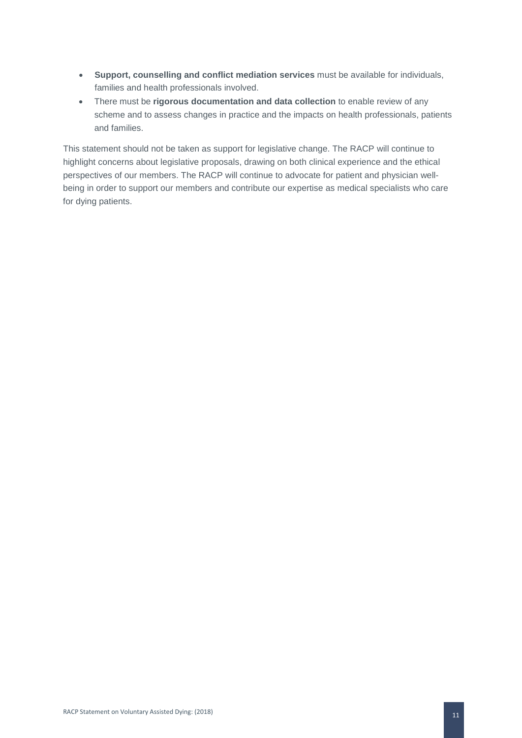- **Support, counselling and conflict mediation services** must be available for individuals, families and health professionals involved.
- There must be **rigorous documentation and data collection** to enable review of any scheme and to assess changes in practice and the impacts on health professionals, patients and families.

This statement should not be taken as support for legislative change. The RACP will continue to highlight concerns about legislative proposals, drawing on both clinical experience and the ethical perspectives of our members. The RACP will continue to advocate for patient and physician wellbeing in order to support our members and contribute our expertise as medical specialists who care for dying patients.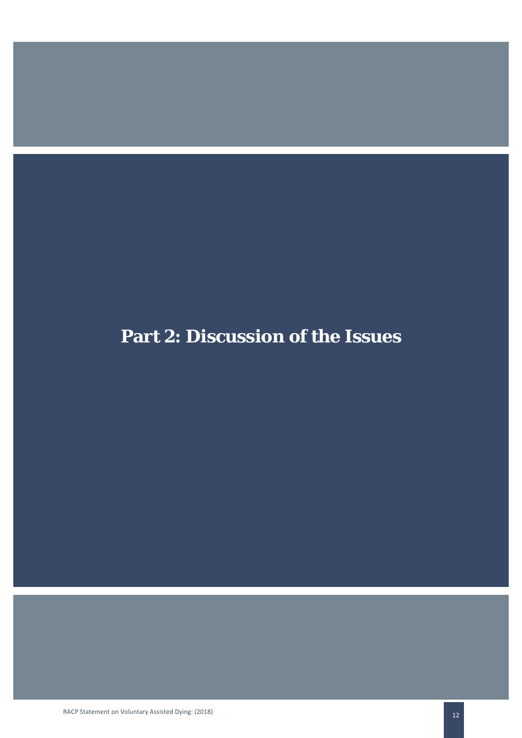# **Part 2: Discussion of the Issues**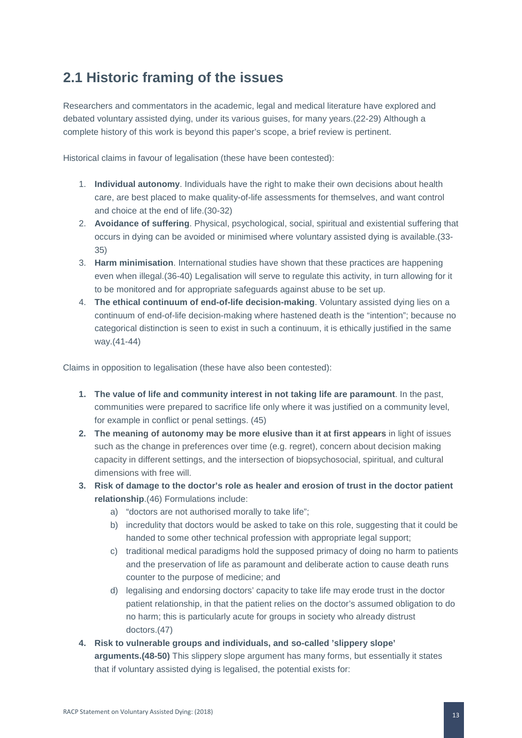# **2.1 Historic framing of the issues**

Researchers and commentators in the academic, legal and medical literature have explored and debated voluntary assisted dying, under its various guises, for many years.(22-29) Although a complete history of this work is beyond this paper's scope, a brief review is pertinent.

Historical claims in favour of legalisation (these have been contested):

- 1. **Individual autonomy**. Individuals have the right to make their own decisions about health care, are best placed to make quality-of-life assessments for themselves, and want control and choice at the end of life.(30-32)
- 2. **Avoidance of suffering**. Physical, psychological, social, spiritual and existential suffering that occurs in dying can be avoided or minimised where voluntary assisted dying is available.(33- 35)
- 3. **Harm minimisation**. International studies have shown that these practices are happening even when illegal.(36-40) Legalisation will serve to regulate this activity, in turn allowing for it to be monitored and for appropriate safeguards against abuse to be set up.
- 4. **The ethical continuum of end-of-life decision-making**. Voluntary assisted dying lies on a continuum of end-of-life decision-making where hastened death is the "intention"; because no categorical distinction is seen to exist in such a continuum, it is ethically justified in the same way.(41-44)

Claims in opposition to legalisation (these have also been contested):

- **1. The value of life and community interest in not taking life are paramount**. In the past, communities were prepared to sacrifice life only where it was justified on a community level, for example in conflict or penal settings. (45)
- **2. The meaning of autonomy may be more elusive than it at first appears** in light of issues such as the change in preferences over time (e.g. regret), concern about decision making capacity in different settings, and the intersection of biopsychosocial, spiritual, and cultural dimensions with free will.
- **3. Risk of damage to the doctor's role as healer and erosion of trust in the doctor patient relationship**.(46) Formulations include:
	- a) "doctors are not authorised morally to take life";
	- b) incredulity that doctors would be asked to take on this role, suggesting that it could be handed to some other technical profession with appropriate legal support;
	- c) traditional medical paradigms hold the supposed primacy of doing no harm to patients and the preservation of life as paramount and deliberate action to cause death runs counter to the purpose of medicine; and
	- d) legalising and endorsing doctors' capacity to take life may erode trust in the doctor patient relationship, in that the patient relies on the doctor's assumed obligation to do no harm; this is particularly acute for groups in society who already distrust doctors.(47)
- **4. Risk to vulnerable groups and individuals, and so-called 'slippery slope' arguments.(48-50)** This slippery slope argument has many forms, but essentially it states that if voluntary assisted dying is legalised, the potential exists for: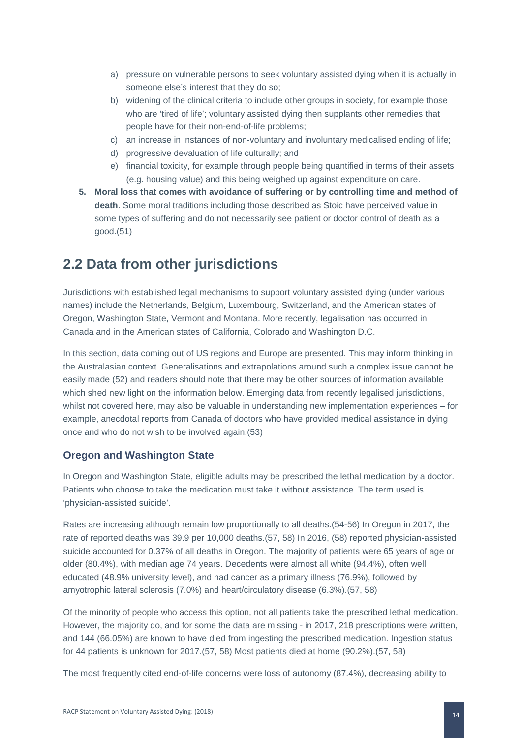- a) pressure on vulnerable persons to seek voluntary assisted dying when it is actually in someone else's interest that they do so;
- b) widening of the clinical criteria to include other groups in society, for example those who are 'tired of life'; voluntary assisted dying then supplants other remedies that people have for their non-end-of-life problems;
- c) an increase in instances of non-voluntary and involuntary medicalised ending of life;
- d) progressive devaluation of life culturally; and
- e) financial toxicity, for example through people being quantified in terms of their assets (e.g. housing value) and this being weighed up against expenditure on care.
- **5. Moral loss that comes with avoidance of suffering or by controlling time and method of death**. Some moral traditions including those described as Stoic have perceived value in some types of suffering and do not necessarily see patient or doctor control of death as a good.(51)

### **2.2 Data from other jurisdictions**

Jurisdictions with established legal mechanisms to support voluntary assisted dying (under various names) include the Netherlands, Belgium, Luxembourg, Switzerland, and the American states of Oregon, Washington State, Vermont and Montana. More recently, legalisation has occurred in Canada and in the American states of California, Colorado and Washington D.C.

In this section, data coming out of US regions and Europe are presented. This may inform thinking in the Australasian context. Generalisations and extrapolations around such a complex issue cannot be easily made (52) and readers should note that there may be other sources of information available which shed new light on the information below. Emerging data from recently legalised jurisdictions, whilst not covered here, may also be valuable in understanding new implementation experiences – for example, anecdotal reports from Canada of doctors who have provided medical assistance in dying once and who do not wish to be involved again.(53)

### **Oregon and Washington State**

In Oregon and Washington State, eligible adults may be prescribed the lethal medication by a doctor. Patients who choose to take the medication must take it without assistance. The term used is 'physician-assisted suicide'.

Rates are increasing although remain low proportionally to all deaths.(54-56) In Oregon in 2017, the rate of reported deaths was 39.9 per 10,000 deaths.(57, 58) In 2016, (58) reported physician-assisted suicide accounted for 0.37% of all deaths in Oregon. The majority of patients were 65 years of age or older (80.4%), with median age 74 years. Decedents were almost all white (94.4%), often well educated (48.9% university level), and had cancer as a primary illness (76.9%), followed by amyotrophic lateral sclerosis (7.0%) and heart/circulatory disease (6.3%).(57, 58)

Of the minority of people who access this option, not all patients take the prescribed lethal medication. However, the majority do, and for some the data are missing - in 2017, 218 prescriptions were written, and 144 (66.05%) are known to have died from ingesting the prescribed medication. Ingestion status for 44 patients is unknown for 2017.(57, 58) Most patients died at home (90.2%).(57, 58)

The most frequently cited end-of-life concerns were loss of autonomy (87.4%), decreasing ability to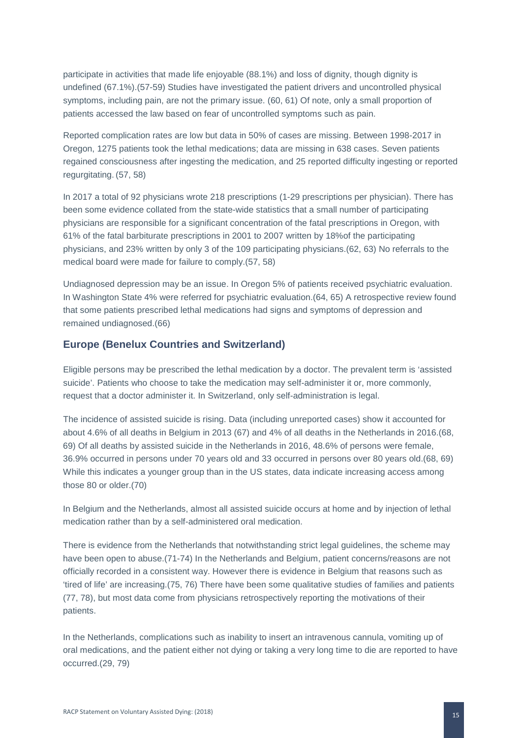participate in activities that made life enjoyable (88.1%) and loss of dignity, though dignity is undefined (67.1%).(57-59) Studies have investigated the patient drivers and uncontrolled physical symptoms, including pain, are not the primary issue. (60, 61) Of note, only a small proportion of patients accessed the law based on fear of uncontrolled symptoms such as pain.

Reported complication rates are low but data in 50% of cases are missing. Between 1998-2017 in Oregon, 1275 patients took the lethal medications; data are missing in 638 cases. Seven patients regained consciousness after ingesting the medication, and 25 reported difficulty ingesting or reported regurgitating. (57, 58)

In 2017 a total of 92 physicians wrote 218 prescriptions (1-29 prescriptions per physician). There has been some evidence collated from the state-wide statistics that a small number of participating physicians are responsible for a significant concentration of the fatal prescriptions in Oregon, with 61% of the fatal barbiturate prescriptions in 2001 to 2007 written by 18%of the participating physicians, and 23% written by only 3 of the 109 participating physicians.(62, 63) No referrals to the medical board were made for failure to comply.(57, 58)

Undiagnosed depression may be an issue. In Oregon 5% of patients received psychiatric evaluation. In Washington State 4% were referred for psychiatric evaluation.(64, 65) A retrospective review found that some patients prescribed lethal medications had signs and symptoms of depression and remained undiagnosed.(66)

### **Europe (Benelux Countries and Switzerland)**

Eligible persons may be prescribed the lethal medication by a doctor. The prevalent term is 'assisted suicide'. Patients who choose to take the medication may self-administer it or, more commonly, request that a doctor administer it. In Switzerland, only self-administration is legal.

The incidence of assisted suicide is rising. Data (including unreported cases) show it accounted for about 4.6% of all deaths in Belgium in 2013 (67) and 4% of all deaths in the Netherlands in 2016.(68, 69) Of all deaths by assisted suicide in the Netherlands in 2016, 48.6% of persons were female, 36.9% occurred in persons under 70 years old and 33 occurred in persons over 80 years old.(68, 69) While this indicates a younger group than in the US states, data indicate increasing access among those 80 or older.(70)

In Belgium and the Netherlands, almost all assisted suicide occurs at home and by injection of lethal medication rather than by a self-administered oral medication.

There is evidence from the Netherlands that notwithstanding strict legal guidelines, the scheme may have been open to abuse.(71-74) In the Netherlands and Belgium, patient concerns/reasons are not officially recorded in a consistent way. However there is evidence in Belgium that reasons such as 'tired of life' are increasing.(75, 76) There have been some qualitative studies of families and patients (77, 78), but most data come from physicians retrospectively reporting the motivations of their patients.

In the Netherlands, complications such as inability to insert an intravenous cannula, vomiting up of oral medications, and the patient either not dying or taking a very long time to die are reported to have occurred.(29, 79)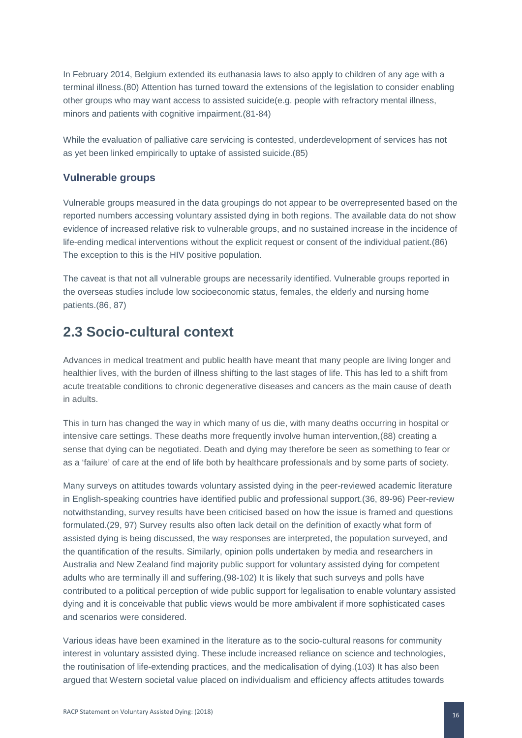In February 2014, Belgium extended its euthanasia laws to also apply to children of any age with a terminal illness.(80) Attention has turned toward the extensions of the legislation to consider enabling other groups who may want access to assisted suicide(e.g. people with refractory mental illness, minors and patients with cognitive impairment.(81-84)

While the evaluation of palliative care servicing is contested, underdevelopment of services has not as yet been linked empirically to uptake of assisted suicide.(85)

### **Vulnerable groups**

Vulnerable groups measured in the data groupings do not appear to be overrepresented based on the reported numbers accessing voluntary assisted dying in both regions. The available data do not show evidence of increased relative risk to vulnerable groups, and no sustained increase in the incidence of life-ending medical interventions without the explicit request or consent of the individual patient.(86) The exception to this is the HIV positive population.

The caveat is that not all vulnerable groups are necessarily identified. Vulnerable groups reported in the overseas studies include low socioeconomic status, females, the elderly and nursing home patients.(86, 87)

### **2.3 Socio-cultural context**

Advances in medical treatment and public health have meant that many people are living longer and healthier lives, with the burden of illness shifting to the last stages of life. This has led to a shift from acute treatable conditions to chronic degenerative diseases and cancers as the main cause of death in adults.

This in turn has changed the way in which many of us die, with many deaths occurring in hospital or intensive care settings. These deaths more frequently involve human intervention,(88) creating a sense that dying can be negotiated. Death and dying may therefore be seen as something to fear or as a 'failure' of care at the end of life both by healthcare professionals and by some parts of society.

Many surveys on attitudes towards voluntary assisted dying in the peer-reviewed academic literature in English-speaking countries have identified public and professional support.(36, 89-96) Peer-review notwithstanding, survey results have been criticised based on how the issue is framed and questions formulated.(29, 97) Survey results also often lack detail on the definition of exactly what form of assisted dying is being discussed, the way responses are interpreted, the population surveyed, and the quantification of the results. Similarly, opinion polls undertaken by media and researchers in Australia and New Zealand find majority public support for voluntary assisted dying for competent adults who are terminally ill and suffering.(98-102) It is likely that such surveys and polls have contributed to a political perception of wide public support for legalisation to enable voluntary assisted dying and it is conceivable that public views would be more ambivalent if more sophisticated cases and scenarios were considered.

Various ideas have been examined in the literature as to the socio-cultural reasons for community interest in voluntary assisted dying. These include increased reliance on science and technologies, the routinisation of life-extending practices, and the medicalisation of dying.(103) It has also been argued that Western societal value placed on individualism and efficiency affects attitudes towards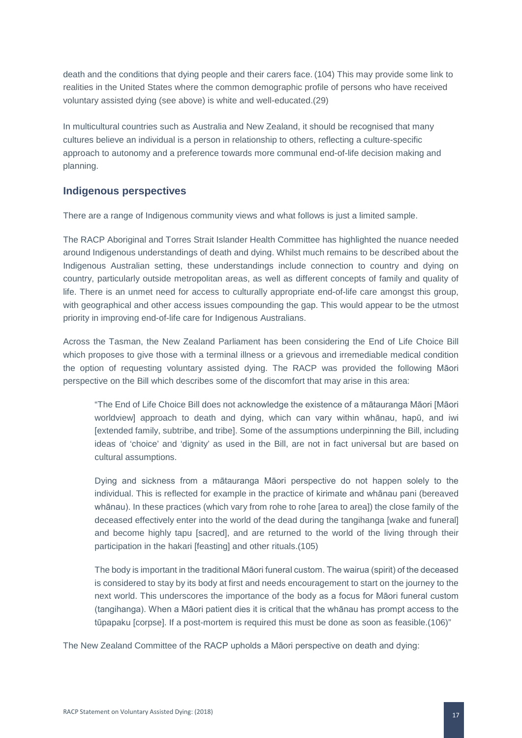death and the conditions that dying people and their carers face. (104) This may provide some link to realities in the United States where the common demographic profile of persons who have received voluntary assisted dying (see above) is white and well-educated.(29)

In multicultural countries such as Australia and New Zealand, it should be recognised that many cultures believe an individual is a person in relationship to others, reflecting a culture-specific approach to autonomy and a preference towards more communal end-of-life decision making and planning.

### **Indigenous perspectives**

There are a range of Indigenous community views and what follows is just a limited sample.

The RACP Aboriginal and Torres Strait Islander Health Committee has highlighted the nuance needed around Indigenous understandings of death and dying. Whilst much remains to be described about the Indigenous Australian setting, these understandings include connection to country and dying on country, particularly outside metropolitan areas, as well as different concepts of family and quality of life. There is an unmet need for access to culturally appropriate end-of-life care amongst this group, with geographical and other access issues compounding the gap. This would appear to be the utmost priority in improving end-of-life care for Indigenous Australians.

Across the Tasman, the New Zealand Parliament has been considering the End of Life Choice Bill which proposes to give those with a terminal illness or a grievous and irremediable medical condition the option of requesting voluntary assisted dying. The RACP was provided the following Māori perspective on the Bill which describes some of the discomfort that may arise in this area:

"The End of Life Choice Bill does not acknowledge the existence of a mātauranga Māori [Māori worldview] approach to death and dying, which can vary within whānau, hapū, and iwi [extended family, subtribe, and tribe]. Some of the assumptions underpinning the Bill, including ideas of 'choice' and 'dignity' as used in the Bill, are not in fact universal but are based on cultural assumptions.

Dying and sickness from a mātauranga Māori perspective do not happen solely to the individual. This is reflected for example in the practice of kirimate and whānau pani (bereaved whānau). In these practices (which vary from rohe to rohe [area to area]) the close family of the deceased effectively enter into the world of the dead during the tangihanga [wake and funeral] and become highly tapu [sacred], and are returned to the world of the living through their participation in the hakari [feasting] and other rituals.(105)

The body is important in the traditional Māori funeral custom. The wairua (spirit) of the deceased is considered to stay by its body at first and needs encouragement to start on the journey to the next world. This underscores the importance of the body as a focus for Māori funeral custom (tangihanga). When a Māori patient dies it is critical that the whānau has prompt access to the tūpapaku [corpse]. If a post-mortem is required this must be done as soon as feasible.(106)"

The New Zealand Committee of the RACP upholds a Māori perspective on death and dying: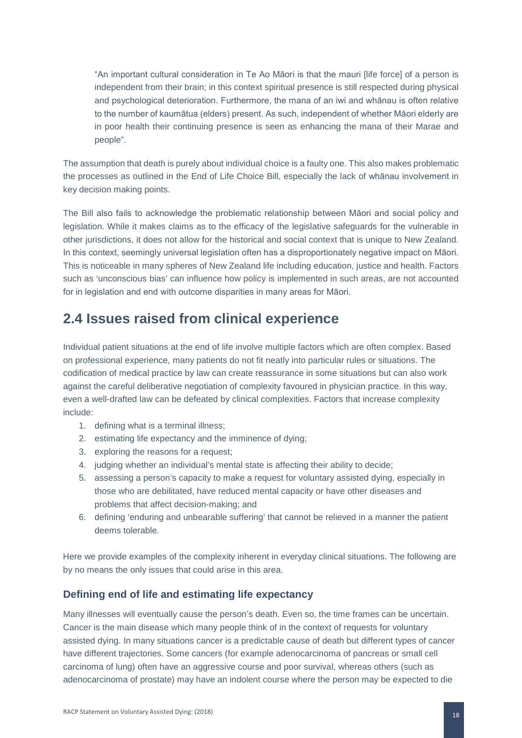"An important cultural consideration in Te Ao Māori is that the mauri [life force] of a person is independent from their brain; in this context spiritual presence is still respected during physical and psychological deterioration. Furthermore, the mana of an iwi and whānau is often relative to the number of kaumātua (elders) present. As such, independent of whether Māori elderly are in poor health their continuing presence is seen as enhancing the mana of their Marae and people".

The assumption that death is purely about individual choice is a faulty one. This also makes problematic the processes as outlined in the End of Life Choice Bill, especially the lack of whānau involvement in key decision making points.

The Bill also fails to acknowledge the problematic relationship between Māori and social policy and legislation. While it makes claims as to the efficacy of the legislative safeguards for the vulnerable in other jurisdictions, it does not allow for the historical and social context that is unique to New Zealand. In this context, seemingly universal legislation often has a disproportionately negative impact on Māori. This is noticeable in many spheres of New Zealand life including education, justice and health. Factors such as 'unconscious bias' can influence how policy is implemented in such areas, are not accounted for in legislation and end with outcome disparities in many areas for Māori.

### **2.4 Issues raised from clinical experience**

Individual patient situations at the end of life involve multiple factors which are often complex. Based on professional experience, many patients do not fit neatly into particular rules or situations. The codification of medical practice by law can create reassurance in some situations but can also work against the careful deliberative negotiation of complexity favoured in physician practice. In this way, even a well-drafted law can be defeated by clinical complexities. Factors that increase complexity include:

- 1. defining what is a terminal illness;
- 2. estimating life expectancy and the imminence of dying;
- 3. exploring the reasons for a request;
- 4. judging whether an individual's mental state is affecting their ability to decide;
- 5. assessing a person's capacity to make a request for voluntary assisted dying, especially in those who are debilitated, have reduced mental capacity or have other diseases and problems that affect decision-making; and
- 6. defining 'enduring and unbearable suffering' that cannot be relieved in a manner the patient deems tolerable.

Here we provide examples of the complexity inherent in everyday clinical situations. The following are by no means the only issues that could arise in this area.

### **Defining end of life and estimating life expectancy**

Many illnesses will eventually cause the person's death. Even so, the time frames can be uncertain. Cancer is the main disease which many people think of in the context of requests for voluntary assisted dying. In many situations cancer is a predictable cause of death but different types of cancer have different trajectories. Some cancers (for example adenocarcinoma of pancreas or small cell carcinoma of lung) often have an aggressive course and poor survival, whereas others (such as adenocarcinoma of prostate) may have an indolent course where the person may be expected to die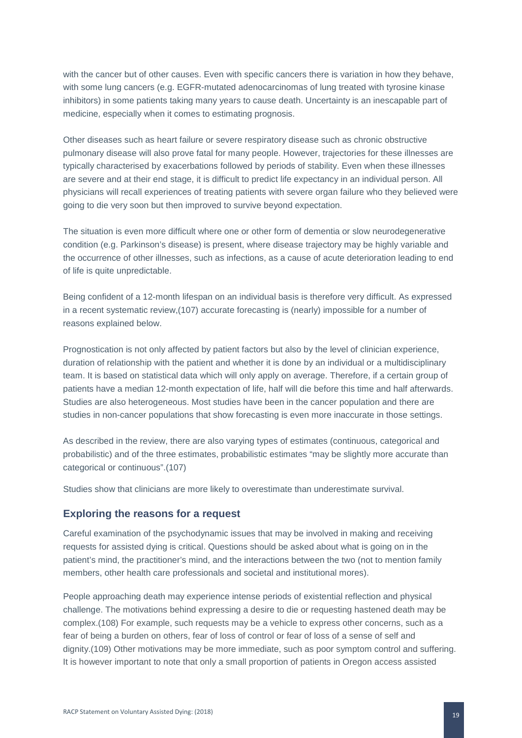with the cancer but of other causes. Even with specific cancers there is variation in how they behave, with some lung cancers (e.g. EGFR-mutated adenocarcinomas of lung treated with tyrosine kinase inhibitors) in some patients taking many years to cause death. Uncertainty is an inescapable part of medicine, especially when it comes to estimating prognosis.

Other diseases such as heart failure or severe respiratory disease such as chronic obstructive pulmonary disease will also prove fatal for many people. However, trajectories for these illnesses are typically characterised by exacerbations followed by periods of stability. Even when these illnesses are severe and at their end stage, it is difficult to predict life expectancy in an individual person. All physicians will recall experiences of treating patients with severe organ failure who they believed were going to die very soon but then improved to survive beyond expectation.

The situation is even more difficult where one or other form of dementia or slow neurodegenerative condition (e.g. Parkinson's disease) is present, where disease trajectory may be highly variable and the occurrence of other illnesses, such as infections, as a cause of acute deterioration leading to end of life is quite unpredictable.

Being confident of a 12-month lifespan on an individual basis is therefore very difficult. As expressed in a recent systematic review,(107) accurate forecasting is (nearly) impossible for a number of reasons explained below.

Prognostication is not only affected by patient factors but also by the level of clinician experience, duration of relationship with the patient and whether it is done by an individual or a multidisciplinary team. It is based on statistical data which will only apply on average. Therefore, if a certain group of patients have a median 12-month expectation of life, half will die before this time and half afterwards. Studies are also heterogeneous. Most studies have been in the cancer population and there are studies in non-cancer populations that show forecasting is even more inaccurate in those settings.

As described in the review, there are also varying types of estimates (continuous, categorical and probabilistic) and of the three estimates, probabilistic estimates "may be slightly more accurate than categorical or continuous".(107)

Studies show that clinicians are more likely to overestimate than underestimate survival.

#### **Exploring the reasons for a request**

Careful examination of the psychodynamic issues that may be involved in making and receiving requests for assisted dying is critical. Questions should be asked about what is going on in the patient's mind, the practitioner's mind, and the interactions between the two (not to mention family members, other health care professionals and societal and institutional mores).

People approaching death may experience intense periods of existential reflection and physical challenge. The motivations behind expressing a desire to die or requesting hastened death may be complex.(108) For example, such requests may be a vehicle to express other concerns, such as a fear of being a burden on others, fear of loss of control or fear of loss of a sense of self and dignity.(109) Other motivations may be more immediate, such as poor symptom control and suffering. It is however important to note that only a small proportion of patients in Oregon access assisted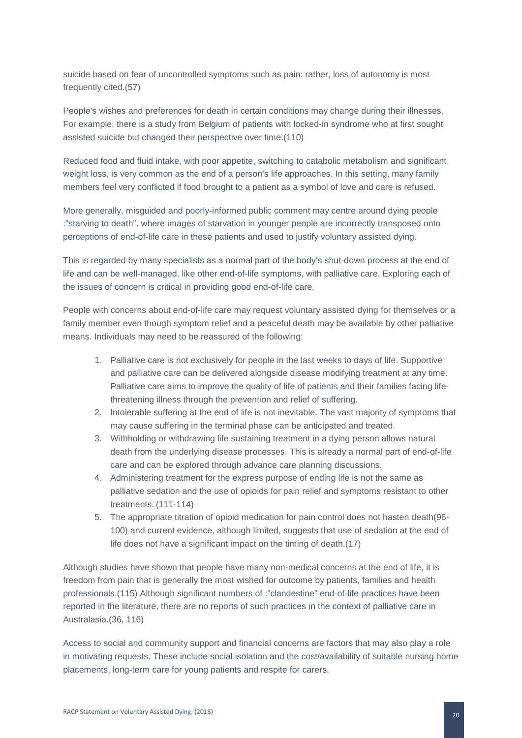suicide based on fear of uncontrolled symptoms such as pain: rather, loss of autonomy is most frequently cited.(57)

People's wishes and preferences for death in certain conditions may change during their illnesses. For example, there is a study from Belgium of patients with locked-in syndrome who at first sought assisted suicide but changed their perspective over time.(110)

Reduced food and fluid intake, with poor appetite, switching to catabolic metabolism and significant weight loss, is very common as the end of a person's life approaches. In this setting, many family members feel very conflicted if food brought to a patient as a symbol of love and care is refused.

More generally, misguided and poorly-informed public comment may centre around dying people :"starving to death", where images of starvation in younger people are incorrectly transposed onto perceptions of end-of-life care in these patients and used to justify voluntary assisted dying.

This is regarded by many specialists as a normal part of the body's shut-down process at the end of life and can be well-managed, like other end-of-life symptoms, with palliative care. Exploring each of the issues of concern is critical in providing good end-of-life care.

People with concerns about end-of-life care may request voluntary assisted dying for themselves or a family member even though symptom relief and a peaceful death may be available by other palliative means. Individuals may need to be reassured of the following:

- 1. Palliative care is not exclusively for people in the last weeks to days of life. Supportive and palliative care can be delivered alongside disease modifying treatment at any time. Palliative care aims to improve the quality of life of patients and their families facing lifethreatening illness through the prevention and relief of suffering.
- 2. Intolerable suffering at the end of life is not inevitable. The vast majority of symptoms that may cause suffering in the terminal phase can be anticipated and treated.
- 3. Withholding or withdrawing life sustaining treatment in a dying person allows natural death from the underlying disease processes. This is already a normal part of end-of-life care and can be explored through advance care planning discussions.
- 4. Administering treatment for the express purpose of ending life is not the same as palliative sedation and the use of opioids for pain relief and symptoms resistant to other treatments. (111-114)
- 5. The appropriate titration of opioid medication for pain control does not hasten death(96- 100) and current evidence, although limited, suggests that use of sedation at the end of life does not have a significant impact on the timing of death.(17)

Although studies have shown that people have many non-medical concerns at the end of life, it is freedom from pain that is generally the most wished for outcome by patients, families and health professionals.(115) Although significant numbers of :"clandestine" end-of-life practices have been reported in the literature, there are no reports of such practices in the context of palliative care in Australasia.(36, 116)

Access to social and community support and financial concerns are factors that may also play a role in motivating requests. These include social isolation and the cost/availability of suitable nursing home placements, long-term care for young patients and respite for carers.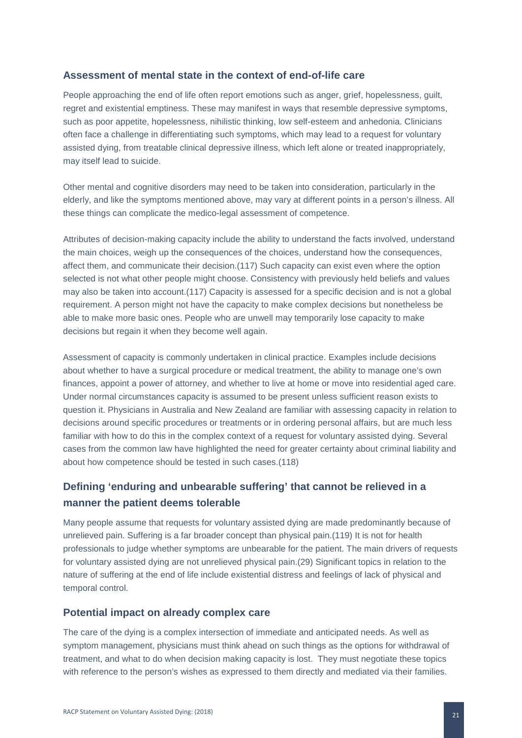### **Assessment of mental state in the context of end-of-life care**

People approaching the end of life often report emotions such as anger, grief, hopelessness, guilt, regret and existential emptiness. These may manifest in ways that resemble depressive symptoms, such as poor appetite, hopelessness, nihilistic thinking, low self-esteem and anhedonia. Clinicians often face a challenge in differentiating such symptoms, which may lead to a request for voluntary assisted dying, from treatable clinical depressive illness, which left alone or treated inappropriately, may itself lead to suicide.

Other mental and cognitive disorders may need to be taken into consideration, particularly in the elderly, and like the symptoms mentioned above, may vary at different points in a person's illness. All these things can complicate the medico-legal assessment of competence.

Attributes of decision-making capacity include the ability to understand the facts involved, understand the main choices, weigh up the consequences of the choices, understand how the consequences, affect them, and communicate their decision.(117) Such capacity can exist even where the option selected is not what other people might choose. Consistency with previously held beliefs and values may also be taken into account.(117) Capacity is assessed for a specific decision and is not a global requirement. A person might not have the capacity to make complex decisions but nonetheless be able to make more basic ones. People who are unwell may temporarily lose capacity to make decisions but regain it when they become well again.

Assessment of capacity is commonly undertaken in clinical practice. Examples include decisions about whether to have a surgical procedure or medical treatment, the ability to manage one's own finances, appoint a power of attorney, and whether to live at home or move into residential aged care. Under normal circumstances capacity is assumed to be present unless sufficient reason exists to question it. Physicians in Australia and New Zealand are familiar with assessing capacity in relation to decisions around specific procedures or treatments or in ordering personal affairs, but are much less familiar with how to do this in the complex context of a request for voluntary assisted dying. Several cases from the common law have highlighted the need for greater certainty about criminal liability and about how competence should be tested in such cases.(118)

### **Defining 'enduring and unbearable suffering' that cannot be relieved in a manner the patient deems tolerable**

Many people assume that requests for voluntary assisted dying are made predominantly because of unrelieved pain. Suffering is a far broader concept than physical pain.(119) It is not for health professionals to judge whether symptoms are unbearable for the patient. The main drivers of requests for voluntary assisted dying are not unrelieved physical pain.(29) Significant topics in relation to the nature of suffering at the end of life include existential distress and feelings of lack of physical and temporal control.

### **Potential impact on already complex care**

The care of the dying is a complex intersection of immediate and anticipated needs. As well as symptom management, physicians must think ahead on such things as the options for withdrawal of treatment, and what to do when decision making capacity is lost. They must negotiate these topics with reference to the person's wishes as expressed to them directly and mediated via their families.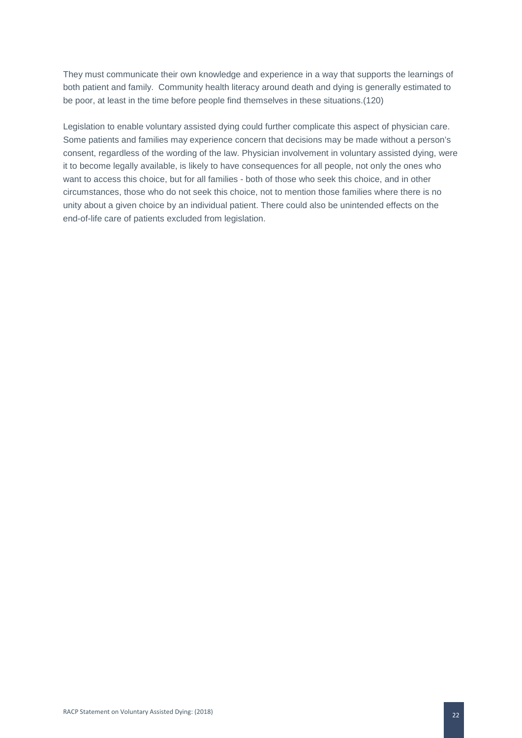They must communicate their own knowledge and experience in a way that supports the learnings of both patient and family. Community health literacy around death and dying is generally estimated to be poor, at least in the time before people find themselves in these situations.(120)

Legislation to enable voluntary assisted dying could further complicate this aspect of physician care. Some patients and families may experience concern that decisions may be made without a person's consent, regardless of the wording of the law. Physician involvement in voluntary assisted dying, were it to become legally available, is likely to have consequences for all people, not only the ones who want to access this choice, but for all families - both of those who seek this choice, and in other circumstances, those who do not seek this choice, not to mention those families where there is no unity about a given choice by an individual patient. There could also be unintended effects on the end-of-life care of patients excluded from legislation.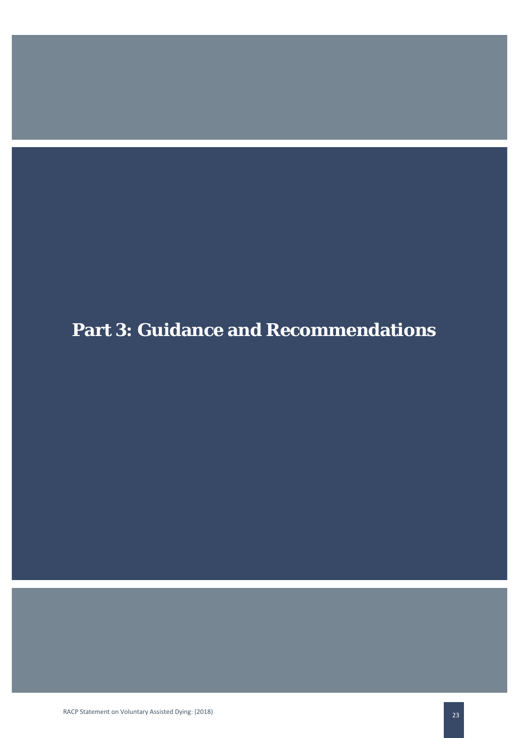# **Part 3: Guidance and Recommendations**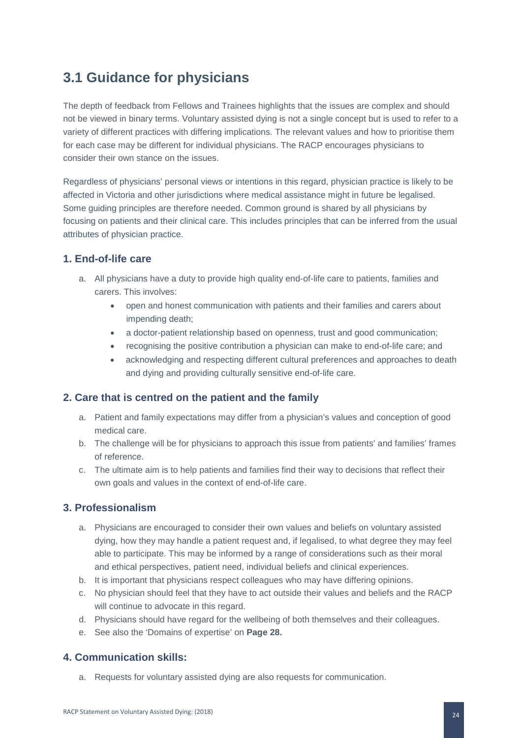# **3.1 Guidance for physicians**

The depth of feedback from Fellows and Trainees highlights that the issues are complex and should not be viewed in binary terms. Voluntary assisted dying is not a single concept but is used to refer to a variety of different practices with differing implications. The relevant values and how to prioritise them for each case may be different for individual physicians. The RACP encourages physicians to consider their own stance on the issues.

Regardless of physicians' personal views or intentions in this regard, physician practice is likely to be affected in Victoria and other jurisdictions where medical assistance might in future be legalised. Some guiding principles are therefore needed. Common ground is shared by all physicians by focusing on patients and their clinical care. This includes principles that can be inferred from the usual attributes of physician practice.

### **1. End-of-life care**

- a. All physicians have a duty to provide high quality end-of-life care to patients, families and carers. This involves:
	- open and honest communication with patients and their families and carers about impending death;
	- a doctor-patient relationship based on openness, trust and good communication;
	- recognising the positive contribution a physician can make to end-of-life care; and
	- acknowledging and respecting different cultural preferences and approaches to death and dying and providing culturally sensitive end-of-life care.

### **2. Care that is centred on the patient and the family**

- a. Patient and family expectations may differ from a physician's values and conception of good medical care.
- b. The challenge will be for physicians to approach this issue from patients' and families' frames of reference.
- c. The ultimate aim is to help patients and families find their way to decisions that reflect their own goals and values in the context of end-of-life care.

### **3. Professionalism**

- a. Physicians are encouraged to consider their own values and beliefs on voluntary assisted dying, how they may handle a patient request and, if legalised, to what degree they may feel able to participate. This may be informed by a range of considerations such as their moral and ethical perspectives, patient need, individual beliefs and clinical experiences.
- b. It is important that physicians respect colleagues who may have differing opinions.
- c. No physician should feel that they have to act outside their values and beliefs and the RACP will continue to advocate in this regard.
- d. Physicians should have regard for the wellbeing of both themselves and their colleagues.
- e. See also the 'Domains of expertise' on **Page 28.**

### **4. Communication skills:**

a. Requests for voluntary assisted dying are also requests for communication.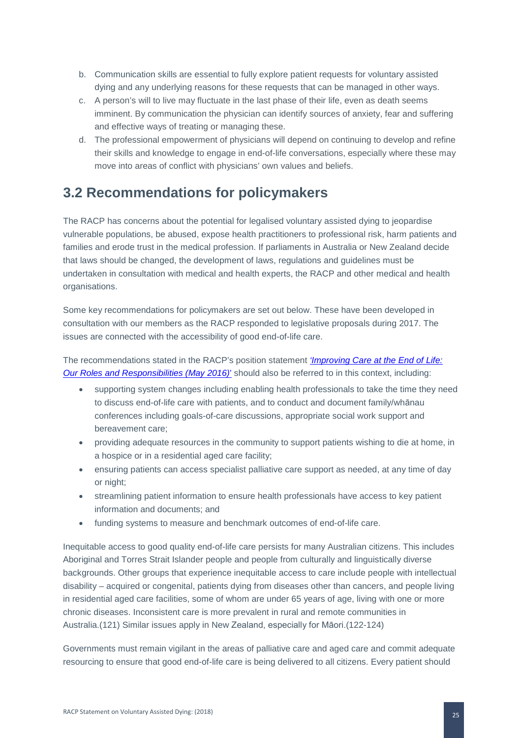- b. Communication skills are essential to fully explore patient requests for voluntary assisted dying and any underlying reasons for these requests that can be managed in other ways.
- c. A person's will to live may fluctuate in the last phase of their life, even as death seems imminent. By communication the physician can identify sources of anxiety, fear and suffering and effective ways of treating or managing these.
- d. The professional empowerment of physicians will depend on continuing to develop and refine their skills and knowledge to engage in end-of-life conversations, especially where these may move into areas of conflict with physicians' own values and beliefs.

### **3.2 Recommendations for policymakers**

The RACP has concerns about the potential for legalised voluntary assisted dying to jeopardise vulnerable populations, be abused, expose health practitioners to professional risk, harm patients and families and erode trust in the medical profession. If parliaments in Australia or New Zealand decide that laws should be changed, the development of laws, regulations and guidelines must be undertaken in consultation with medical and health experts, the RACP and other medical and health organisations.

Some key recommendations for policymakers are set out below. These have been developed in consultation with our members as the RACP responded to legislative proposals during 2017. The issues are connected with the accessibility of good end-of-life care.

The recommendations stated in the RACP's position statement *['Improving Care at the End of Life:](https://www.racp.edu.au/docs/default-source/advocacy-library/pa-pos-end-of-life-position-statement.pdf?sfvrsn=6)  [Our Roles and Responsibilities \(May 2016\)](https://www.racp.edu.au/docs/default-source/advocacy-library/pa-pos-end-of-life-position-statement.pdf?sfvrsn=6)*' should also be referred to in this context, including:

- supporting system changes including enabling health professionals to take the time they need to discuss end-of-life care with patients, and to conduct and document family/whānau conferences including goals-of-care discussions, appropriate social work support and bereavement care;
- providing adequate resources in the community to support patients wishing to die at home, in a hospice or in a residential aged care facility;
- ensuring patients can access specialist palliative care support as needed, at any time of day or night;
- streamlining patient information to ensure health professionals have access to key patient information and documents; and
- funding systems to measure and benchmark outcomes of end-of-life care.

Inequitable access to good quality end-of-life care persists for many Australian citizens. This includes Aboriginal and Torres Strait Islander people and people from culturally and linguistically diverse backgrounds. Other groups that experience inequitable access to care include people with intellectual disability – acquired or congenital, patients dying from diseases other than cancers, and people living in residential aged care facilities, some of whom are under 65 years of age, living with one or more chronic diseases. Inconsistent care is more prevalent in rural and remote communities in Australia.(121) Similar issues apply in New Zealand, especially for Māori.(122-124)

Governments must remain vigilant in the areas of palliative care and aged care and commit adequate resourcing to ensure that good end-of-life care is being delivered to all citizens. Every patient should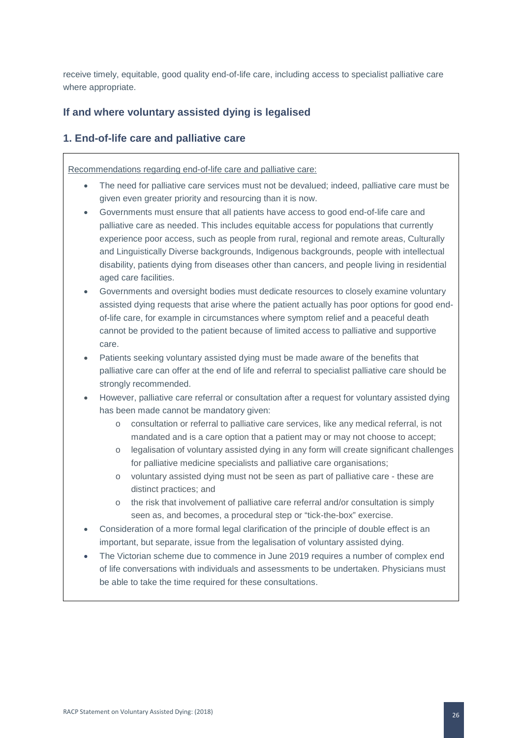receive timely, equitable, good quality end-of-life care, including access to specialist palliative care where appropriate.

### **If and where voluntary assisted dying is legalised**

### **1. End-of-life care and palliative care**

Recommendations regarding end-of-life care and palliative care:

- The need for palliative care services must not be devalued; indeed, palliative care must be given even greater priority and resourcing than it is now.
- Governments must ensure that all patients have access to good end-of-life care and palliative care as needed. This includes equitable access for populations that currently experience poor access, such as people from rural, regional and remote areas, Culturally and Linguistically Diverse backgrounds, Indigenous backgrounds, people with intellectual disability, patients dying from diseases other than cancers, and people living in residential aged care facilities.
- Governments and oversight bodies must dedicate resources to closely examine voluntary assisted dying requests that arise where the patient actually has poor options for good endof-life care, for example in circumstances where symptom relief and a peaceful death cannot be provided to the patient because of limited access to palliative and supportive care.
- Patients seeking voluntary assisted dying must be made aware of the benefits that palliative care can offer at the end of life and referral to specialist palliative care should be strongly recommended.
- However, palliative care referral or consultation after a request for voluntary assisted dying has been made cannot be mandatory given:
	- o consultation or referral to palliative care services, like any medical referral, is not mandated and is a care option that a patient may or may not choose to accept;
	- o legalisation of voluntary assisted dying in any form will create significant challenges for palliative medicine specialists and palliative care organisations;
	- o voluntary assisted dying must not be seen as part of palliative care these are distinct practices; and
	- o the risk that involvement of palliative care referral and/or consultation is simply seen as, and becomes, a procedural step or "tick-the-box" exercise.
- Consideration of a more formal legal clarification of the principle of double effect is an important, but separate, issue from the legalisation of voluntary assisted dying.
- The Victorian scheme due to commence in June 2019 requires a number of complex end of life conversations with individuals and assessments to be undertaken. Physicians must be able to take the time required for these consultations.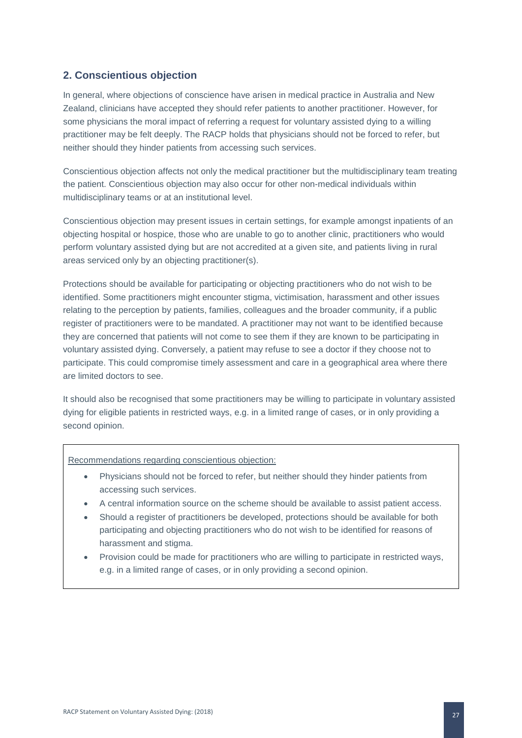### **2. Conscientious objection**

In general, where objections of conscience have arisen in medical practice in Australia and New Zealand, clinicians have accepted they should refer patients to another practitioner. However, for some physicians the moral impact of referring a request for voluntary assisted dying to a willing practitioner may be felt deeply. The RACP holds that physicians should not be forced to refer, but neither should they hinder patients from accessing such services.

Conscientious objection affects not only the medical practitioner but the multidisciplinary team treating the patient. Conscientious objection may also occur for other non-medical individuals within multidisciplinary teams or at an institutional level.

Conscientious objection may present issues in certain settings, for example amongst inpatients of an objecting hospital or hospice, those who are unable to go to another clinic, practitioners who would perform voluntary assisted dying but are not accredited at a given site, and patients living in rural areas serviced only by an objecting practitioner(s).

Protections should be available for participating or objecting practitioners who do not wish to be identified. Some practitioners might encounter stigma, victimisation, harassment and other issues relating to the perception by patients, families, colleagues and the broader community, if a public register of practitioners were to be mandated. A practitioner may not want to be identified because they are concerned that patients will not come to see them if they are known to be participating in voluntary assisted dying. Conversely, a patient may refuse to see a doctor if they choose not to participate. This could compromise timely assessment and care in a geographical area where there are limited doctors to see.

It should also be recognised that some practitioners may be willing to participate in voluntary assisted dying for eligible patients in restricted ways, e.g. in a limited range of cases, or in only providing a second opinion.

#### Recommendations regarding conscientious objection:

- Physicians should not be forced to refer, but neither should they hinder patients from accessing such services.
- A central information source on the scheme should be available to assist patient access.
- Should a register of practitioners be developed, protections should be available for both participating and objecting practitioners who do not wish to be identified for reasons of harassment and stigma.
- Provision could be made for practitioners who are willing to participate in restricted ways, e.g. in a limited range of cases, or in only providing a second opinion.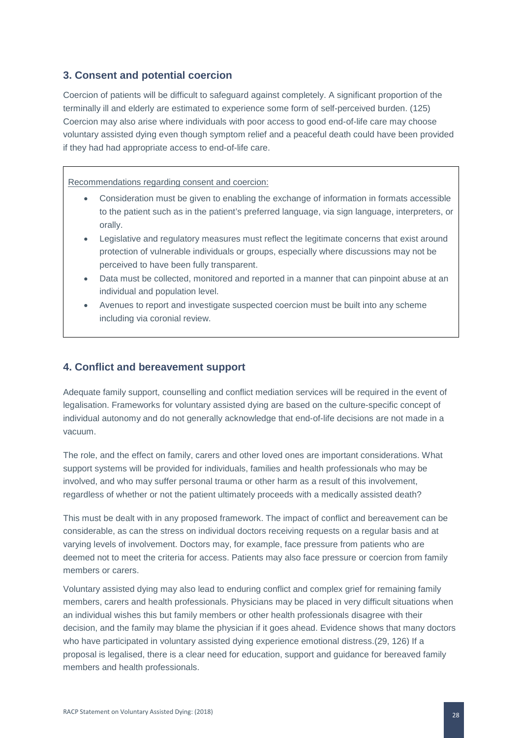### **3. Consent and potential coercion**

Coercion of patients will be difficult to safeguard against completely. A significant proportion of the terminally ill and elderly are estimated to experience some form of self-perceived burden. (125) Coercion may also arise where individuals with poor access to good end-of-life care may choose voluntary assisted dying even though symptom relief and a peaceful death could have been provided if they had had appropriate access to end-of-life care.

Recommendations regarding consent and coercion:

- Consideration must be given to enabling the exchange of information in formats accessible to the patient such as in the patient's preferred language, via sign language, interpreters, or orally.
- Legislative and regulatory measures must reflect the legitimate concerns that exist around protection of vulnerable individuals or groups, especially where discussions may not be perceived to have been fully transparent.
- Data must be collected, monitored and reported in a manner that can pinpoint abuse at an individual and population level.
- Avenues to report and investigate suspected coercion must be built into any scheme including via coronial review.

### **4. Conflict and bereavement support**

Adequate family support, counselling and conflict mediation services will be required in the event of legalisation. Frameworks for voluntary assisted dying are based on the culture-specific concept of individual autonomy and do not generally acknowledge that end-of-life decisions are not made in a vacuum.

The role, and the effect on family, carers and other loved ones are important considerations. What support systems will be provided for individuals, families and health professionals who may be involved, and who may suffer personal trauma or other harm as a result of this involvement, regardless of whether or not the patient ultimately proceeds with a medically assisted death?

This must be dealt with in any proposed framework. The impact of conflict and bereavement can be considerable, as can the stress on individual doctors receiving requests on a regular basis and at varying levels of involvement. Doctors may, for example, face pressure from patients who are deemed not to meet the criteria for access. Patients may also face pressure or coercion from family members or carers.

Voluntary assisted dying may also lead to enduring conflict and complex grief for remaining family members, carers and health professionals. Physicians may be placed in very difficult situations when an individual wishes this but family members or other health professionals disagree with their decision, and the family may blame the physician if it goes ahead. Evidence shows that many doctors who have participated in voluntary assisted dying experience emotional distress.(29, 126) If a proposal is legalised, there is a clear need for education, support and guidance for bereaved family members and health professionals.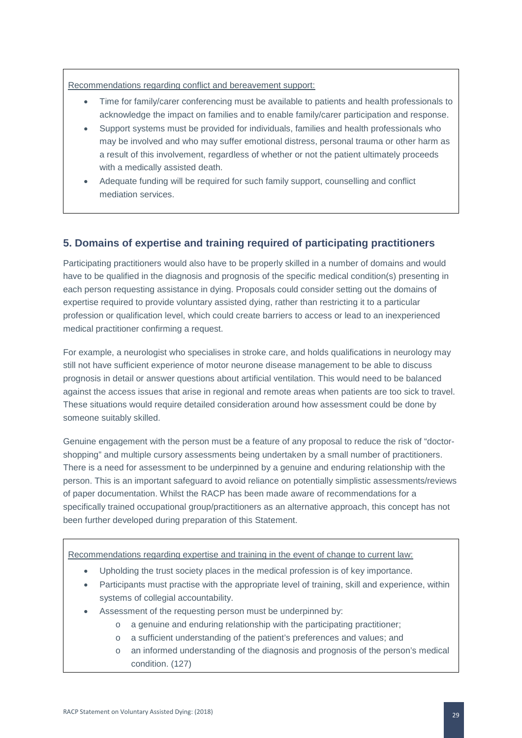Recommendations regarding conflict and bereavement support:

- Time for family/carer conferencing must be available to patients and health professionals to acknowledge the impact on families and to enable family/carer participation and response.
- Support systems must be provided for individuals, families and health professionals who may be involved and who may suffer emotional distress, personal trauma or other harm as a result of this involvement, regardless of whether or not the patient ultimately proceeds with a medically assisted death.
- Adequate funding will be required for such family support, counselling and conflict mediation services.

### **5. Domains of expertise and training required of participating practitioners**

Participating practitioners would also have to be properly skilled in a number of domains and would have to be qualified in the diagnosis and prognosis of the specific medical condition(s) presenting in each person requesting assistance in dying. Proposals could consider setting out the domains of expertise required to provide voluntary assisted dying, rather than restricting it to a particular profession or qualification level, which could create barriers to access or lead to an inexperienced medical practitioner confirming a request.

For example, a neurologist who specialises in stroke care, and holds qualifications in neurology may still not have sufficient experience of motor neurone disease management to be able to discuss prognosis in detail or answer questions about artificial ventilation. This would need to be balanced against the access issues that arise in regional and remote areas when patients are too sick to travel. These situations would require detailed consideration around how assessment could be done by someone suitably skilled.

Genuine engagement with the person must be a feature of any proposal to reduce the risk of "doctorshopping" and multiple cursory assessments being undertaken by a small number of practitioners. There is a need for assessment to be underpinned by a genuine and enduring relationship with the person. This is an important safeguard to avoid reliance on potentially simplistic assessments/reviews of paper documentation. Whilst the RACP has been made aware of recommendations for a specifically trained occupational group/practitioners as an alternative approach, this concept has not been further developed during preparation of this Statement.

Recommendations regarding expertise and training in the event of change to current law:

- Upholding the trust society places in the medical profession is of key importance.
- Participants must practise with the appropriate level of training, skill and experience, within systems of collegial accountability.
- Assessment of the requesting person must be underpinned by:
	- o a genuine and enduring relationship with the participating practitioner;
	- o a sufficient understanding of the patient's preferences and values; and
	- o an informed understanding of the diagnosis and prognosis of the person's medical condition. (127)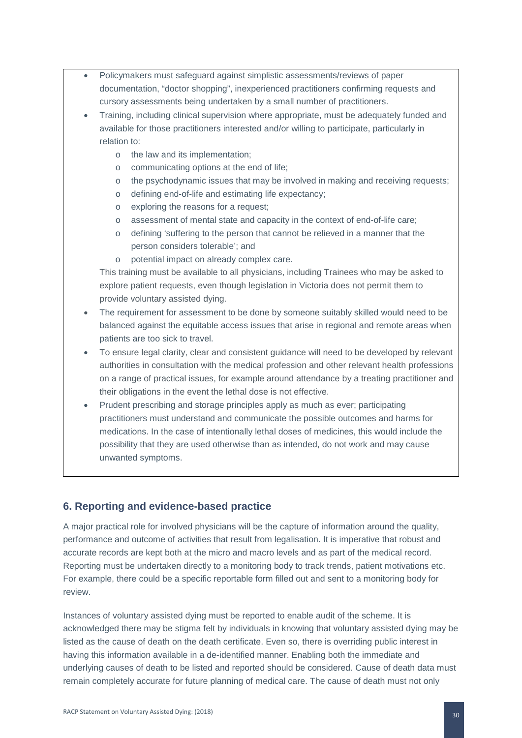- Policymakers must safeguard against simplistic assessments/reviews of paper documentation, "doctor shopping", inexperienced practitioners confirming requests and cursory assessments being undertaken by a small number of practitioners.
- Training, including clinical supervision where appropriate, must be adequately funded and available for those practitioners interested and/or willing to participate, particularly in relation to:
	- o the law and its implementation;
	- o communicating options at the end of life;
	- o the psychodynamic issues that may be involved in making and receiving requests;
	- o defining end-of-life and estimating life expectancy;
	- o exploring the reasons for a request;
	- o assessment of mental state and capacity in the context of end-of-life care;
	- o defining 'suffering to the person that cannot be relieved in a manner that the person considers tolerable'; and
	- o potential impact on already complex care.

This training must be available to all physicians, including Trainees who may be asked to explore patient requests, even though legislation in Victoria does not permit them to provide voluntary assisted dying.

- The requirement for assessment to be done by someone suitably skilled would need to be balanced against the equitable access issues that arise in regional and remote areas when patients are too sick to travel.
- To ensure legal clarity, clear and consistent guidance will need to be developed by relevant authorities in consultation with the medical profession and other relevant health professions on a range of practical issues, for example around attendance by a treating practitioner and their obligations in the event the lethal dose is not effective.
- Prudent prescribing and storage principles apply as much as ever; participating practitioners must understand and communicate the possible outcomes and harms for medications. In the case of intentionally lethal doses of medicines, this would include the possibility that they are used otherwise than as intended, do not work and may cause unwanted symptoms.

### **6. Reporting and evidence-based practice**

A major practical role for involved physicians will be the capture of information around the quality, performance and outcome of activities that result from legalisation. It is imperative that robust and accurate records are kept both at the micro and macro levels and as part of the medical record. Reporting must be undertaken directly to a monitoring body to track trends, patient motivations etc. For example, there could be a specific reportable form filled out and sent to a monitoring body for review.

Instances of voluntary assisted dying must be reported to enable audit of the scheme. It is acknowledged there may be stigma felt by individuals in knowing that voluntary assisted dying may be listed as the cause of death on the death certificate. Even so, there is overriding public interest in having this information available in a de-identified manner. Enabling both the immediate and underlying causes of death to be listed and reported should be considered. Cause of death data must remain completely accurate for future planning of medical care. The cause of death must not only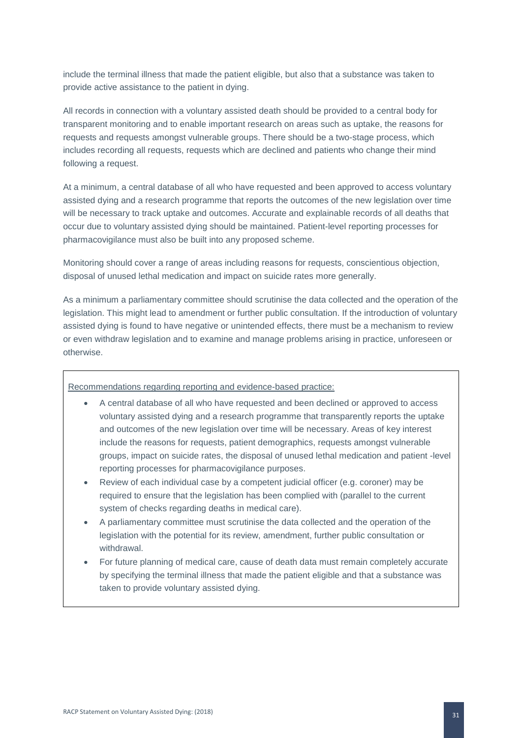include the terminal illness that made the patient eligible, but also that a substance was taken to provide active assistance to the patient in dying.

All records in connection with a voluntary assisted death should be provided to a central body for transparent monitoring and to enable important research on areas such as uptake, the reasons for requests and requests amongst vulnerable groups. There should be a two-stage process, which includes recording all requests, requests which are declined and patients who change their mind following a request.

At a minimum, a central database of all who have requested and been approved to access voluntary assisted dying and a research programme that reports the outcomes of the new legislation over time will be necessary to track uptake and outcomes. Accurate and explainable records of all deaths that occur due to voluntary assisted dying should be maintained. Patient-level reporting processes for pharmacovigilance must also be built into any proposed scheme.

Monitoring should cover a range of areas including reasons for requests, conscientious objection, disposal of unused lethal medication and impact on suicide rates more generally.

As a minimum a parliamentary committee should scrutinise the data collected and the operation of the legislation. This might lead to amendment or further public consultation. If the introduction of voluntary assisted dying is found to have negative or unintended effects, there must be a mechanism to review or even withdraw legislation and to examine and manage problems arising in practice, unforeseen or otherwise.

Recommendations regarding reporting and evidence-based practice:

- A central database of all who have requested and been declined or approved to access voluntary assisted dying and a research programme that transparently reports the uptake and outcomes of the new legislation over time will be necessary. Areas of key interest include the reasons for requests, patient demographics, requests amongst vulnerable groups, impact on suicide rates, the disposal of unused lethal medication and patient -level reporting processes for pharmacovigilance purposes.
- Review of each individual case by a competent judicial officer (e.g. coroner) may be required to ensure that the legislation has been complied with (parallel to the current system of checks regarding deaths in medical care).
- A parliamentary committee must scrutinise the data collected and the operation of the legislation with the potential for its review, amendment, further public consultation or withdrawal.
- For future planning of medical care, cause of death data must remain completely accurate by specifying the terminal illness that made the patient eligible and that a substance was taken to provide voluntary assisted dying.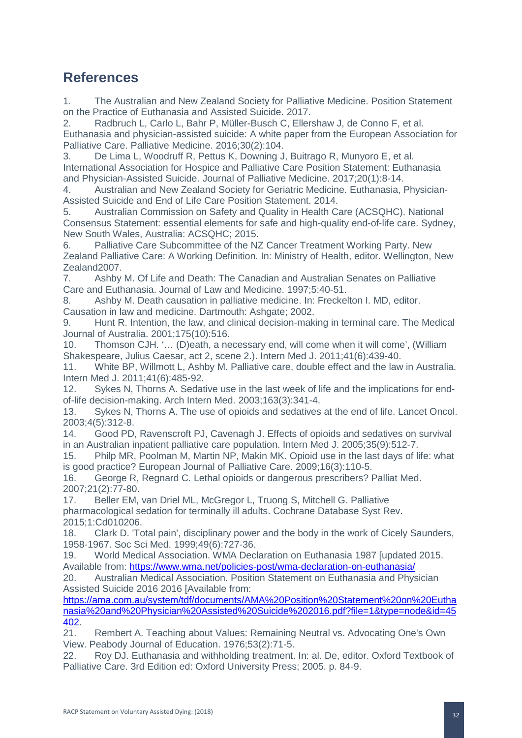## <span id="page-32-0"></span>**References**

1. The Australian and New Zealand Society for Palliative Medicine. Position Statement on the Practice of Euthanasia and Assisted Suicide. 2017.

2. Radbruch L, Carlo L, Bahr P, Müller-Busch C, Ellershaw J, de Conno F, et al. Euthanasia and physician-assisted suicide: A white paper from the European Association for Palliative Care. Palliative Medicine. 2016;30(2):104.

3. De Lima L, Woodruff R, Pettus K, Downing J, Buitrago R, Munyoro E, et al. International Association for Hospice and Palliative Care Position Statement: Euthanasia and Physician-Assisted Suicide. Journal of Palliative Medicine. 2017;20(1):8-14.

4. Australian and New Zealand Society for Geriatric Medicine. Euthanasia, Physician-Assisted Suicide and End of Life Care Position Statement. 2014.

5. Australian Commission on Safety and Quality in Health Care (ACSQHC). National Consensus Statement: essential elements for safe and high-quality end-of-life care. Sydney, New South Wales, Australia: ACSQHC; 2015.

6. Palliative Care Subcommittee of the NZ Cancer Treatment Working Party. New Zealand Palliative Care: A Working Definition. In: Ministry of Health, editor. Wellington, New Zealand2007.

7. Ashby M. Of Life and Death: The Canadian and Australian Senates on Palliative Care and Euthanasia. Journal of Law and Medicine. 1997;5:40-51.

8. Ashby M. Death causation in palliative medicine. In: Freckelton I. MD, editor. Causation in law and medicine. Dartmouth: Ashgate; 2002.

9. Hunt R. Intention, the law, and clinical decision-making in terminal care. The Medical Journal of Australia. 2001;175(10):516.

10. Thomson CJH. '… (D)eath, a necessary end, will come when it will come', (William Shakespeare, Julius Caesar, act 2, scene 2.). Intern Med J. 2011;41(6):439-40.

11. White BP, Willmott L, Ashby M. Palliative care, double effect and the law in Australia. Intern Med J. 2011;41(6):485-92.

12. Sykes N, Thorns A. Sedative use in the last week of life and the implications for endof-life decision-making. Arch Intern Med. 2003;163(3):341-4.

13. Sykes N, Thorns A. The use of opioids and sedatives at the end of life. Lancet Oncol. 2003;4(5):312-8.

14. Good PD, Ravenscroft PJ, Cavenagh J. Effects of opioids and sedatives on survival in an Australian inpatient palliative care population. Intern Med J. 2005;35(9):512-7.

15. Philp MR, Poolman M, Martin NP, Makin MK. Opioid use in the last days of life: what is good practice? European Journal of Palliative Care. 2009;16(3):110-5.

16. George R, Regnard C. Lethal opioids or dangerous prescribers? Palliat Med. 2007;21(2):77-80.

17. Beller EM, van Driel ML, McGregor L, Truong S, Mitchell G. Palliative pharmacological sedation for terminally ill adults. Cochrane Database Syst Rev. 2015;1:Cd010206.

18. Clark D. 'Total pain', disciplinary power and the body in the work of Cicely Saunders, 1958-1967. Soc Sci Med. 1999;49(6):727-36.

19. World Medical Association. WMA Declaration on Euthanasia 1987 [updated 2015. Available from:<https://www.wma.net/policies-post/wma-declaration-on-euthanasia/>

20. Australian Medical Association. Position Statement on Euthanasia and Physician Assisted Suicide 2016 2016 [Available from:

[https://ama.com.au/system/tdf/documents/AMA%20Position%20Statement%20on%20Eutha](https://ama.com.au/system/tdf/documents/AMA%20Position%20Statement%20on%20Euthanasia%20and%20Physician%20Assisted%20Suicide%202016.pdf?file=1&type=node&id=45402) [nasia%20and%20Physician%20Assisted%20Suicide%202016.pdf?file=1&type=node&id=45](https://ama.com.au/system/tdf/documents/AMA%20Position%20Statement%20on%20Euthanasia%20and%20Physician%20Assisted%20Suicide%202016.pdf?file=1&type=node&id=45402) [402.](https://ama.com.au/system/tdf/documents/AMA%20Position%20Statement%20on%20Euthanasia%20and%20Physician%20Assisted%20Suicide%202016.pdf?file=1&type=node&id=45402)

21. Rembert A. Teaching about Values: Remaining Neutral vs. Advocating One's Own View. Peabody Journal of Education. 1976;53(2):71-5.

22. Roy DJ. Euthanasia and withholding treatment. In: al. De, editor. Oxford Textbook of Palliative Care. 3rd Edition ed: Oxford University Press; 2005. p. 84-9.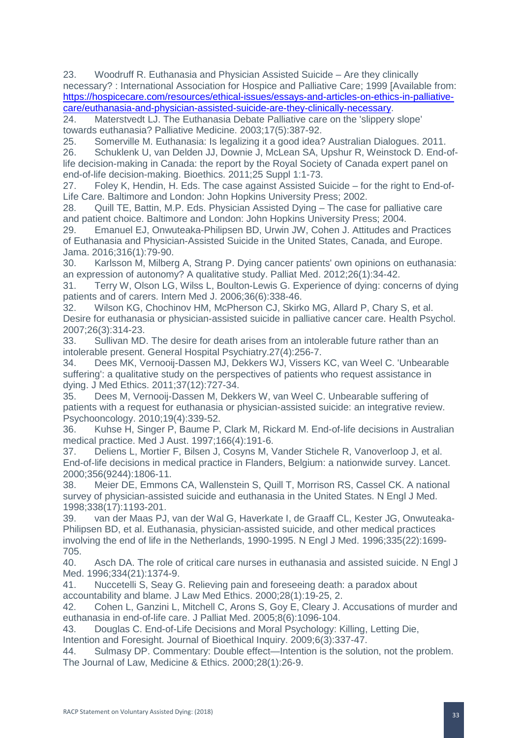23. Woodruff R. Euthanasia and Physician Assisted Suicide – Are they clinically necessary? : International Association for Hospice and Palliative Care; 1999 [Available from: [https://hospicecare.com/resources/ethical-issues/essays-and-articles-on-ethics-in-palliative](https://hospicecare.com/resources/ethical-issues/essays-and-articles-on-ethics-in-palliative-care/euthanasia-and-physician-assisted-suicide-are-they-clinically-necessary)[care/euthanasia-and-physician-assisted-suicide-are-they-clinically-necessary.](https://hospicecare.com/resources/ethical-issues/essays-and-articles-on-ethics-in-palliative-care/euthanasia-and-physician-assisted-suicide-are-they-clinically-necessary)

24. Materstvedt LJ. The Euthanasia Debate Palliative care on the 'slippery slope' towards euthanasia? Palliative Medicine. 2003;17(5):387-92.

25. Somerville M. Euthanasia: Is legalizing it a good idea? Australian Dialogues. 2011.

26. Schuklenk U, van Delden JJ, Downie J, McLean SA, Upshur R, Weinstock D. End-oflife decision-making in Canada: the report by the Royal Society of Canada expert panel on end-of-life decision-making. Bioethics. 2011;25 Suppl 1:1-73.

27. Foley K, Hendin, H. Eds. The case against Assisted Suicide – for the right to End-of-Life Care. Baltimore and London: John Hopkins University Press; 2002.

28. Quill TE, Battin, M.P. Eds. Physician Assisted Dying – The case for palliative care and patient choice. Baltimore and London: John Hopkins University Press; 2004.

29. Emanuel EJ, Onwuteaka-Philipsen BD, Urwin JW, Cohen J. Attitudes and Practices of Euthanasia and Physician-Assisted Suicide in the United States, Canada, and Europe. Jama. 2016;316(1):79-90.

30. Karlsson M, Milberg A, Strang P. Dying cancer patients' own opinions on euthanasia: an expression of autonomy? A qualitative study. Palliat Med. 2012;26(1):34-42.

31. Terry W, Olson LG, Wilss L, Boulton-Lewis G. Experience of dying: concerns of dying patients and of carers. Intern Med J. 2006;36(6):338-46.

32. Wilson KG, Chochinov HM, McPherson CJ, Skirko MG, Allard P, Chary S, et al. Desire for euthanasia or physician-assisted suicide in palliative cancer care. Health Psychol. 2007;26(3):314-23.

33. Sullivan MD. The desire for death arises from an intolerable future rather than an intolerable present. General Hospital Psychiatry.27(4):256-7.

34. Dees MK, Vernooij-Dassen MJ, Dekkers WJ, Vissers KC, van Weel C. 'Unbearable suffering': a qualitative study on the perspectives of patients who request assistance in dying. J Med Ethics. 2011;37(12):727-34.

35. Dees M, Vernooij-Dassen M, Dekkers W, van Weel C. Unbearable suffering of patients with a request for euthanasia or physician-assisted suicide: an integrative review. Psychooncology. 2010;19(4):339-52.

36. Kuhse H, Singer P, Baume P, Clark M, Rickard M. End-of-life decisions in Australian medical practice. Med J Aust. 1997;166(4):191-6.

37. Deliens L, Mortier F, Bilsen J, Cosyns M, Vander Stichele R, Vanoverloop J, et al. End-of-life decisions in medical practice in Flanders, Belgium: a nationwide survey. Lancet. 2000;356(9244):1806-11.

38. Meier DE, Emmons CA, Wallenstein S, Quill T, Morrison RS, Cassel CK. A national survey of physician-assisted suicide and euthanasia in the United States. N Engl J Med. 1998;338(17):1193-201.

39. van der Maas PJ, van der Wal G, Haverkate I, de Graaff CL, Kester JG, Onwuteaka-Philipsen BD, et al. Euthanasia, physician-assisted suicide, and other medical practices involving the end of life in the Netherlands, 1990-1995. N Engl J Med. 1996;335(22):1699- 705.

40. Asch DA. The role of critical care nurses in euthanasia and assisted suicide. N Engl J Med. 1996;334(21):1374-9.

41. Nuccetelli S, Seay G. Relieving pain and foreseeing death: a paradox about accountability and blame. J Law Med Ethics. 2000;28(1):19-25, 2.

42. Cohen L, Ganzini L, Mitchell C, Arons S, Goy E, Cleary J. Accusations of murder and euthanasia in end-of-life care. J Palliat Med. 2005;8(6):1096-104.

43. Douglas C. End-of-Life Decisions and Moral Psychology: Killing, Letting Die,

Intention and Foresight. Journal of Bioethical Inquiry. 2009;6(3):337-47.

44. Sulmasy DP. Commentary: Double effect—Intention is the solution, not the problem. The Journal of Law, Medicine & Ethics. 2000;28(1):26-9.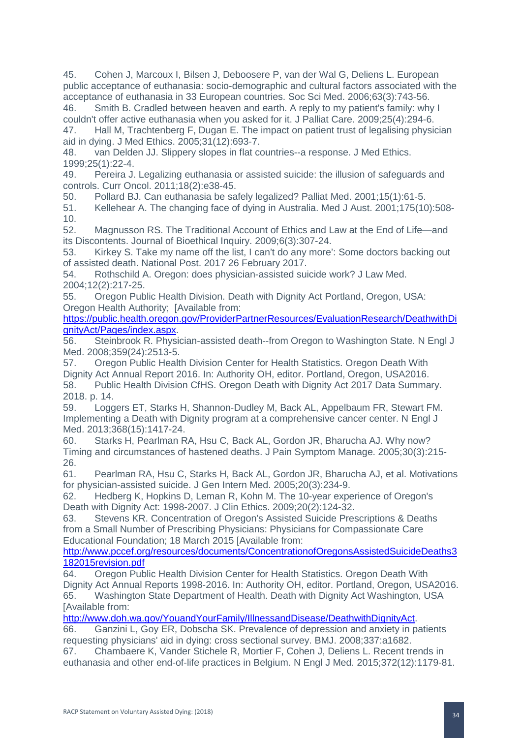45. Cohen J, Marcoux I, Bilsen J, Deboosere P, van der Wal G, Deliens L. European public acceptance of euthanasia: socio-demographic and cultural factors associated with the acceptance of euthanasia in 33 European countries. Soc Sci Med. 2006;63(3):743-56.

46. Smith B. Cradled between heaven and earth. A reply to my patient's family: why I couldn't offer active euthanasia when you asked for it. J Palliat Care. 2009;25(4):294-6.

47. Hall M, Trachtenberg F, Dugan E. The impact on patient trust of legalising physician aid in dying. J Med Ethics. 2005;31(12):693-7.

48. van Delden JJ. Slippery slopes in flat countries--a response. J Med Ethics. 1999;25(1):22-4.

49. Pereira J. Legalizing euthanasia or assisted suicide: the illusion of safeguards and controls. Curr Oncol. 2011;18(2):e38-45.

50. Pollard BJ. Can euthanasia be safely legalized? Palliat Med. 2001;15(1):61-5.<br>51 Kellehear A The changing face of dving in Australia Med. LAust 2001:175(10)

Kellehear A. The changing face of dying in Australia. Med J Aust. 2001;175(10):508-10.

52. Magnusson RS. The Traditional Account of Ethics and Law at the End of Life—and its Discontents. Journal of Bioethical Inquiry. 2009;6(3):307-24.

53. Kirkey S. Take my name off the list, I can't do any more': Some doctors backing out of assisted death. National Post. 2017 26 February 2017.

54. Rothschild A. Oregon: does physician-assisted suicide work? J Law Med. 2004;12(2):217-25.

55. Oregon Public Health Division. Death with Dignity Act Portland, Oregon, USA: Oregon Health Authority; [Available from:

[https://public.health.oregon.gov/ProviderPartnerResources/EvaluationResearch/DeathwithDi](https://public.health.oregon.gov/ProviderPartnerResources/EvaluationResearch/DeathwithDignityAct/Pages/index.aspx) [gnityAct/Pages/index.aspx.](https://public.health.oregon.gov/ProviderPartnerResources/EvaluationResearch/DeathwithDignityAct/Pages/index.aspx)

56. Steinbrook R. Physician-assisted death--from Oregon to Washington State. N Engl J Med. 2008;359(24):2513-5.

57. Oregon Public Health Division Center for Health Statistics. Oregon Death With Dignity Act Annual Report 2016. In: Authority OH, editor. Portland, Oregon, USA2016. 58. Public Health Division CfHS. Oregon Death with Dignity Act 2017 Data Summary. 2018. p. 14.

59. Loggers ET, Starks H, Shannon-Dudley M, Back AL, Appelbaum FR, Stewart FM. Implementing a Death with Dignity program at a comprehensive cancer center. N Engl J Med. 2013;368(15):1417-24.

60. Starks H, Pearlman RA, Hsu C, Back AL, Gordon JR, Bharucha AJ. Why now? Timing and circumstances of hastened deaths. J Pain Symptom Manage. 2005;30(3):215-  $26.61$ 

61. Pearlman RA, Hsu C, Starks H, Back AL, Gordon JR, Bharucha AJ, et al. Motivations for physician-assisted suicide. J Gen Intern Med. 2005;20(3):234-9.

62. Hedberg K, Hopkins D, Leman R, Kohn M. The 10-year experience of Oregon's Death with Dignity Act: 1998-2007. J Clin Ethics. 2009;20(2):124-32.

63. Stevens KR. Concentration of Oregon's Assisted Suicide Prescriptions & Deaths from a Small Number of Prescribing Physicians: Physicians for Compassionate Care Educational Foundation; 18 March 2015 [Available from:

[http://www.pccef.org/resources/documents/ConcentrationofOregonsAssistedSuicideDeaths3](http://www.pccef.org/resources/documents/ConcentrationofOregonsAssistedSuicideDeaths3182015revision.pdf) [182015revision.pdf](http://www.pccef.org/resources/documents/ConcentrationofOregonsAssistedSuicideDeaths3182015revision.pdf)

64. Oregon Public Health Division Center for Health Statistics. Oregon Death With Dignity Act Annual Reports 1998-2016. In: Authority OH, editor. Portland, Oregon, USA2016. 65. Washington State Department of Health. Death with Dignity Act Washington, USA [Available from:

[http://www.doh.wa.gov/YouandYourFamily/IllnessandDisease/DeathwithDignityAct.](http://www.doh.wa.gov/YouandYourFamily/IllnessandDisease/DeathwithDignityAct)

66. Ganzini L, Goy ER, Dobscha SK. Prevalence of depression and anxiety in patients requesting physicians' aid in dying: cross sectional survey. BMJ. 2008;337:a1682.

67. Chambaere K, Vander Stichele R, Mortier F, Cohen J, Deliens L. Recent trends in euthanasia and other end-of-life practices in Belgium. N Engl J Med. 2015;372(12):1179-81.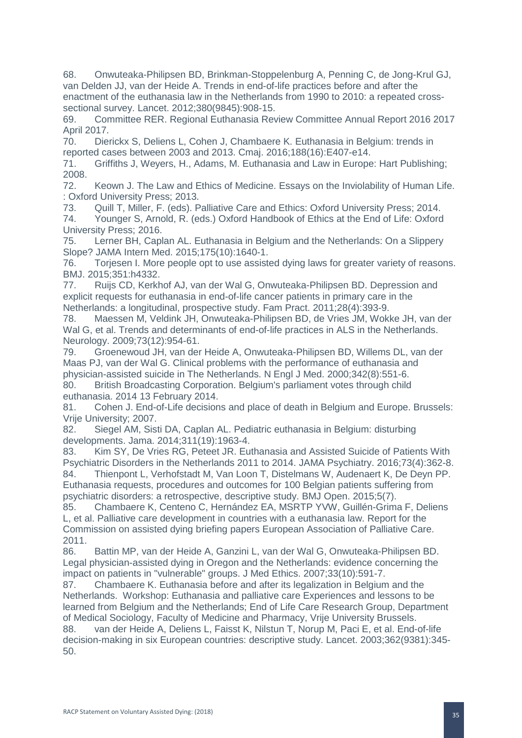68. Onwuteaka-Philipsen BD, Brinkman-Stoppelenburg A, Penning C, de Jong-Krul GJ, van Delden JJ, van der Heide A. Trends in end-of-life practices before and after the enactment of the euthanasia law in the Netherlands from 1990 to 2010: a repeated crosssectional survey. Lancet. 2012;380(9845):908-15.

69. Committee RER. Regional Euthanasia Review Committee Annual Report 2016 2017 April 2017.

70. Dierickx S, Deliens L, Cohen J, Chambaere K. Euthanasia in Belgium: trends in reported cases between 2003 and 2013. Cmaj. 2016;188(16):E407-e14.

71. Griffiths J, Weyers, H., Adams, M. Euthanasia and Law in Europe: Hart Publishing; 2008.

72. Keown J. The Law and Ethics of Medicine. Essays on the Inviolability of Human Life. : Oxford University Press; 2013.

73. Quill T, Miller, F. (eds). Palliative Care and Ethics: Oxford University Press; 2014. 74. Younger S, Arnold, R. (eds.) Oxford Handbook of Ethics at the End of Life: Oxford University Press; 2016.

75. Lerner BH, Caplan AL. Euthanasia in Belgium and the Netherlands: On a Slippery Slope? JAMA Intern Med. 2015;175(10):1640-1.

76. Torjesen I. More people opt to use assisted dying laws for greater variety of reasons. BMJ. 2015;351:h4332.

77. Ruijs CD, Kerkhof AJ, van der Wal G, Onwuteaka-Philipsen BD. Depression and explicit requests for euthanasia in end-of-life cancer patients in primary care in the Netherlands: a longitudinal, prospective study. Fam Pract. 2011;28(4):393-9.

78. Maessen M, Veldink JH, Onwuteaka-Philipsen BD, de Vries JM, Wokke JH, van der Wal G, et al. Trends and determinants of end-of-life practices in ALS in the Netherlands. Neurology. 2009;73(12):954-61.

79. Groenewoud JH, van der Heide A, Onwuteaka-Philipsen BD, Willems DL, van der Maas PJ, van der Wal G. Clinical problems with the performance of euthanasia and physician-assisted suicide in The Netherlands. N Engl J Med. 2000;342(8):551-6. 80. British Broadcasting Corporation. Belgium's parliament votes through child euthanasia. 2014 13 February 2014.

81. Cohen J. End-of-Life decisions and place of death in Belgium and Europe. Brussels: Vrije University; 2007.

82. Siegel AM, Sisti DA, Caplan AL. Pediatric euthanasia in Belgium: disturbing developments. Jama. 2014;311(19):1963-4.

83. Kim SY, De Vries RG, Peteet JR. Euthanasia and Assisted Suicide of Patients With Psychiatric Disorders in the Netherlands 2011 to 2014. JAMA Psychiatry. 2016;73(4):362-8.

84. Thienpont L, Verhofstadt M, Van Loon T, Distelmans W, Audenaert K, De Deyn PP. Euthanasia requests, procedures and outcomes for 100 Belgian patients suffering from psychiatric disorders: a retrospective, descriptive study. BMJ Open. 2015;5(7).

85. Chambaere K, Centeno C, Hernández EA, MSRTP YVW, Guillén-Grima F, Deliens L, et al. Palliative care development in countries with a euthanasia law. Report for the Commission on assisted dying briefing papers European Association of Palliative Care. 2011.

86. Battin MP, van der Heide A, Ganzini L, van der Wal G, Onwuteaka-Philipsen BD. Legal physician-assisted dying in Oregon and the Netherlands: evidence concerning the impact on patients in "vulnerable" groups. J Med Ethics. 2007;33(10):591-7.

87. Chambaere K. Euthanasia before and after its legalization in Belgium and the Netherlands. Workshop: Euthanasia and palliative care Experiences and lessons to be learned from Belgium and the Netherlands; End of Life Care Research Group, Department of Medical Sociology, Faculty of Medicine and Pharmacy, Vrije University Brussels.

88. van der Heide A, Deliens L, Faisst K, Nilstun T, Norup M, Paci E, et al. End-of-life decision-making in six European countries: descriptive study. Lancet. 2003;362(9381):345- 50.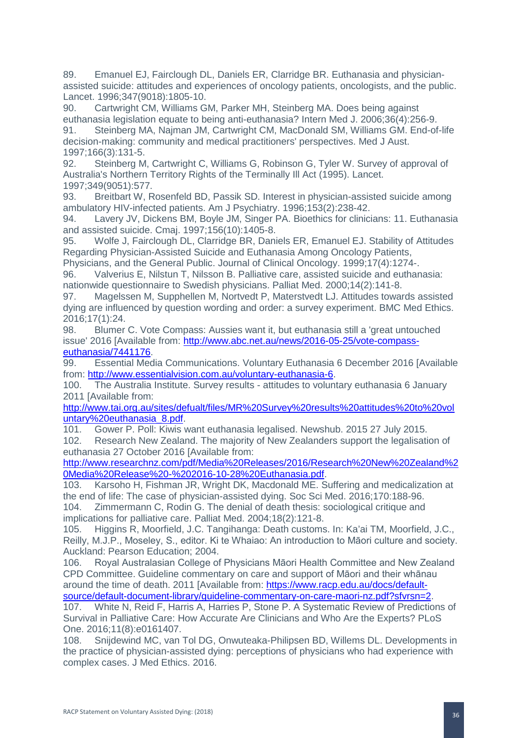89. Emanuel EJ, Fairclough DL, Daniels ER, Clarridge BR. Euthanasia and physicianassisted suicide: attitudes and experiences of oncology patients, oncologists, and the public. Lancet. 1996;347(9018):1805-10.

90. Cartwright CM, Williams GM, Parker MH, Steinberg MA. Does being against euthanasia legislation equate to being anti-euthanasia? Intern Med J. 2006;36(4):256-9. 91. Steinberg MA, Najman JM, Cartwright CM, MacDonald SM, Williams GM. End-of-life decision-making: community and medical practitioners' perspectives. Med J Aust. 1997;166(3):131-5.

92. Steinberg M, Cartwright C, Williams G, Robinson G, Tyler W. Survey of approval of Australia's Northern Territory Rights of the Terminally Ill Act (1995). Lancet. 1997;349(9051):577.

93. Breitbart W, Rosenfeld BD, Passik SD. Interest in physician-assisted suicide among ambulatory HIV-infected patients. Am J Psychiatry. 1996;153(2):238-42.

94. Lavery JV, Dickens BM, Boyle JM, Singer PA. Bioethics for clinicians: 11. Euthanasia and assisted suicide. Cmaj. 1997;156(10):1405-8.

95. Wolfe J, Fairclough DL, Clarridge BR, Daniels ER, Emanuel EJ. Stability of Attitudes Regarding Physician-Assisted Suicide and Euthanasia Among Oncology Patients,

Physicians, and the General Public. Journal of Clinical Oncology. 1999;17(4):1274-.

96. Valverius E, Nilstun T, Nilsson B. Palliative care, assisted suicide and euthanasia: nationwide questionnaire to Swedish physicians. Palliat Med. 2000;14(2):141-8.

97. Magelssen M, Supphellen M, Nortvedt P, Materstvedt LJ. Attitudes towards assisted dying are influenced by question wording and order: a survey experiment. BMC Med Ethics. 2016;17(1):24.

98. Blumer C. Vote Compass: Aussies want it, but euthanasia still a 'great untouched issue' 2016 [Available from: [http://www.abc.net.au/news/2016-05-25/vote-compass](http://www.abc.net.au/news/2016-05-25/vote-compass-euthanasia/7441176)[euthanasia/7441176.](http://www.abc.net.au/news/2016-05-25/vote-compass-euthanasia/7441176)

99. Essential Media Communications. Voluntary Euthanasia 6 December 2016 [Available from: [http://www.essentialvision.com.au/voluntary-euthanasia-6.](http://www.essentialvision.com.au/voluntary-euthanasia-6)

100. The Australia Institute. Survey results - attitudes to voluntary euthanasia 6 January 2011 [Available from:

[http://www.tai.org.au/sites/defualt/files/MR%20Survey%20results%20attitudes%20to%20vol](http://www.tai.org.au/sites/defualt/files/MR%20Survey%20results%20attitudes%20to%20voluntary%20euthanasia_8.pdf) [untary%20euthanasia\\_8.pdf.](http://www.tai.org.au/sites/defualt/files/MR%20Survey%20results%20attitudes%20to%20voluntary%20euthanasia_8.pdf)

101. Gower P. Poll: Kiwis want euthanasia legalised. Newshub. 2015 27 July 2015.

102. Research New Zealand. The majority of New Zealanders support the legalisation of euthanasia 27 October 2016 [Available from:

[http://www.researchnz.com/pdf/Media%20Releases/2016/Research%20New%20Zealand%2](http://www.researchnz.com/pdf/Media%20Releases/2016/Research%20New%20Zealand%20Media%20Release%20-%202016-10-28%20Euthanasia.pdf) [0Media%20Release%20-%202016-10-28%20Euthanasia.pdf.](http://www.researchnz.com/pdf/Media%20Releases/2016/Research%20New%20Zealand%20Media%20Release%20-%202016-10-28%20Euthanasia.pdf)

103. Karsoho H, Fishman JR, Wright DK, Macdonald ME. Suffering and medicalization at the end of life: The case of physician-assisted dying. Soc Sci Med. 2016;170:188-96. 104. Zimmermann C, Rodin G. The denial of death thesis: sociological critique and

implications for palliative care. Palliat Med. 2004;18(2):121-8.

105. Higgins R, Moorfield, J.C. Tangihanga: Death customs. In: Ka'ai TM, Moorfield, J.C., Reilly, M.J.P., Moseley, S., editor. Ki te Whaiao: An introduction to Māori culture and society. Auckland: Pearson Education; 2004.

106. Royal Australasian College of Physicians Māori Health Committee and New Zealand CPD Committee. Guideline commentary on care and support of Māori and their whānau around the time of death. 2011 [Available from: [https://www.racp.edu.au/docs/default](https://www.racp.edu.au/docs/default-source/default-document-library/guideline-commentary-on-care-maori-nz.pdf?sfvrsn=2)[source/default-document-library/guideline-commentary-on-care-maori-nz.pdf?sfvrsn=2.](https://www.racp.edu.au/docs/default-source/default-document-library/guideline-commentary-on-care-maori-nz.pdf?sfvrsn=2)

107. White N, Reid F, Harris A, Harries P, Stone P. A Systematic Review of Predictions of Survival in Palliative Care: How Accurate Are Clinicians and Who Are the Experts? PLoS One. 2016;11(8):e0161407.

108. Snijdewind MC, van Tol DG, Onwuteaka-Philipsen BD, Willems DL. Developments in the practice of physician-assisted dying: perceptions of physicians who had experience with complex cases. J Med Ethics. 2016.